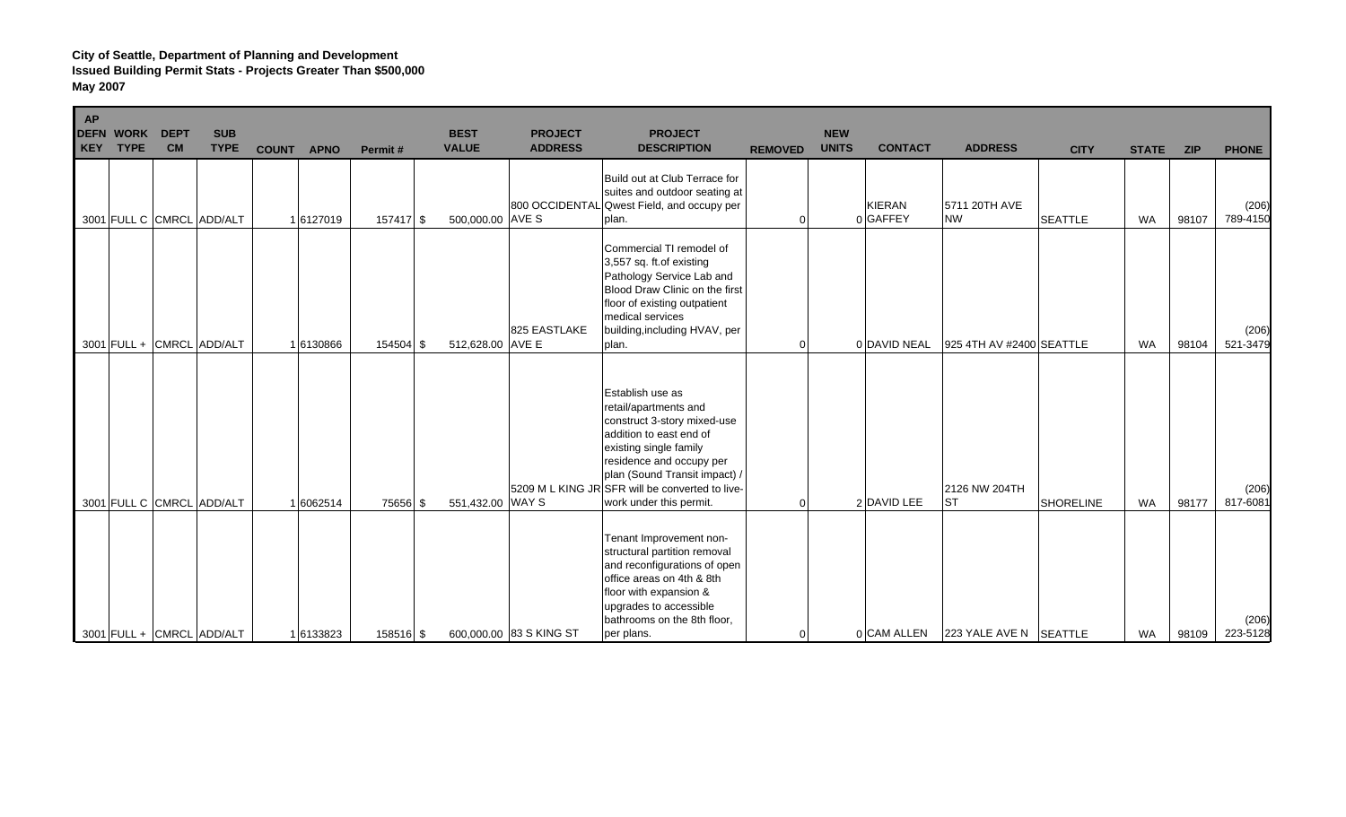| <b>AP</b><br>KEY | <b>DEFN WORK</b><br><b>TYPE</b> | <b>DEPT</b><br><b>CM</b> | <b>SUB</b><br><b>TYPE</b> | <b>COUNT</b> | <b>APNO</b> | Permit#   | <b>BEST</b><br><b>VALUE</b> | <b>PROJECT</b><br><b>ADDRESS</b> | <b>PROJECT</b><br><b>DESCRIPTION</b>                                                                                                                                                                                                                                     | <b>REMOVED</b> | <b>NEW</b><br><b>UNITS</b> | <b>CONTACT</b>     | <b>ADDRESS</b>             | <b>CITY</b>      | <b>STATE</b> | <b>ZIP</b> | <b>PHONE</b>      |
|------------------|---------------------------------|--------------------------|---------------------------|--------------|-------------|-----------|-----------------------------|----------------------------------|--------------------------------------------------------------------------------------------------------------------------------------------------------------------------------------------------------------------------------------------------------------------------|----------------|----------------------------|--------------------|----------------------------|------------------|--------------|------------|-------------------|
|                  |                                 |                          | 3001 FULL C CMRCL ADD/ALT |              | 16127019    | 157417 \$ | 500,000.00 AVE S            |                                  | Build out at Club Terrace for<br>suites and outdoor seating at<br>800 OCCIDENTAL Qwest Field, and occupy per<br>plan.                                                                                                                                                    |                |                            | KIERAN<br>0 GAFFEY | 5711 20TH AVE<br><b>NW</b> | <b>SEATTLE</b>   | <b>WA</b>    | 98107      | (206)<br>789-4150 |
|                  |                                 |                          | 3001 FULL + CMRCL ADD/ALT |              | 1 6130866   | 154504 \$ | 512,628.00 AVE E            | 825 EASTLAKE                     | Commercial TI remodel of<br>3,557 sq. ft.of existing<br>Pathology Service Lab and<br>Blood Draw Clinic on the first<br>floor of existing outpatient<br>medical services<br>building, including HVAV, per<br>plan.                                                        | $\Omega$       |                            | 0 DAVID NEAL       | 925 4TH AV #2400 SEATTLE   |                  | <b>WA</b>    | 98104      | (206)<br>521-3479 |
|                  |                                 |                          | 3001 FULL C CMRCL ADD/ALT |              | 1 6062514   | 75656 \$  | 551,432.00 WAY S            |                                  | Establish use as<br>retail/apartments and<br>construct 3-story mixed-use<br>addition to east end of<br>existing single family<br>residence and occupy per<br>plan (Sound Transit impact) /<br>5209 M L KING JR SFR will be converted to live-<br>work under this permit. | $\Omega$       |                            | 2 DAVID LEE        | 2126 NW 204TH<br><b>ST</b> | <b>SHORELINE</b> | <b>WA</b>    | 98177      | (206)<br>817-6081 |
|                  |                                 |                          | 3001 FULL + CMRCL ADD/ALT |              | 16133823    | 158516 \$ |                             | 600,000.00 83 S KING ST          | Tenant Improvement non-<br>structural partition removal<br>and reconfigurations of open<br>office areas on 4th & 8th<br>floor with expansion &<br>upgrades to accessible<br>bathrooms on the 8th floor,<br>per plans.                                                    | $\Omega$       |                            | 0 CAM ALLEN        | 223 YALE AVE N SEATTLE     |                  | <b>WA</b>    | 98109      | (206)<br>223-5128 |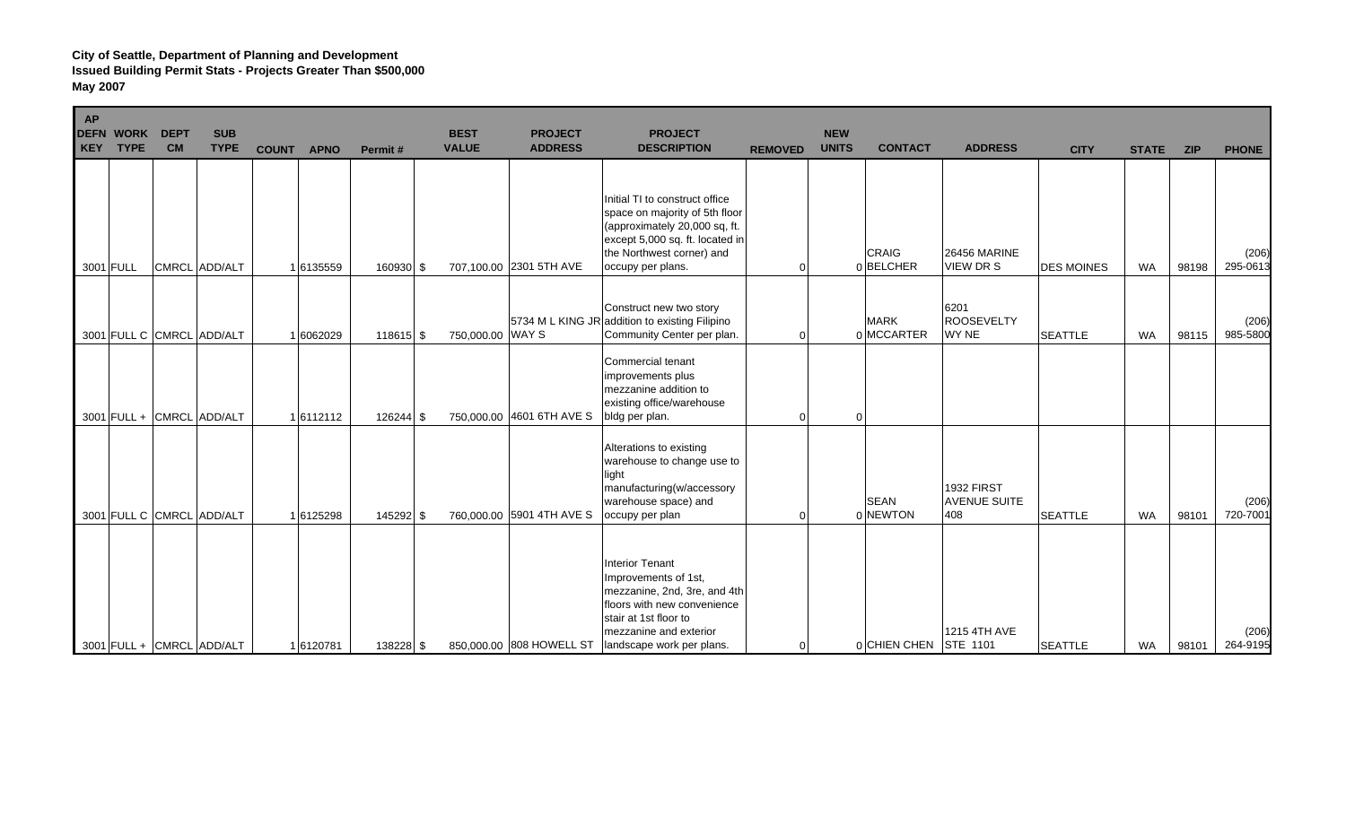| AP<br><b>DEFN WORK</b><br><b>TYPE</b><br><b>KEY</b> | <b>DEPT</b><br><b>CM</b> | <b>SUB</b><br><b>TYPE</b> | <b>COUNT</b> | <b>APNO</b> | Permit#   | <b>BEST</b><br><b>VALUE</b> | <b>PROJECT</b><br><b>ADDRESS</b> | <b>PROJECT</b><br><b>DESCRIPTION</b>                                                                                                                                                          | <b>REMOVED</b> | <b>NEW</b><br><b>UNITS</b> | <b>CONTACT</b>            | <b>ADDRESS</b>                           | <b>CITY</b>       | <b>STATE</b> | <b>ZIP</b> | <b>PHONE</b>      |
|-----------------------------------------------------|--------------------------|---------------------------|--------------|-------------|-----------|-----------------------------|----------------------------------|-----------------------------------------------------------------------------------------------------------------------------------------------------------------------------------------------|----------------|----------------------------|---------------------------|------------------------------------------|-------------------|--------------|------------|-------------------|
| 3001 FULL                                           |                          | CMRCL ADD/ALT             |              | 1 6135559   | 160930 \$ |                             | 707,100.00 2301 5TH AVE          | Initial TI to construct office<br>space on majority of 5th floor<br>(approximately 20,000 sq, ft.<br>except 5,000 sq. ft. located in<br>the Northwest corner) and<br>occupy per plans.        | ∩              |                            | <b>CRAIG</b><br>0BELCHER  | <b>26456 MARINE</b><br>VIEW DR S         | <b>DES MOINES</b> | WA           | 98198      | (206)<br>295-0613 |
|                                                     |                          | 3001 FULL C CMRCL ADD/ALT |              | 1 6062029   | 118615 \$ |                             | 750,000.00 WAY S                 | Construct new two story<br>5734 M L KING JR addition to existing Filipino<br>Community Center per plan.                                                                                       |                |                            | <b>MARK</b><br>0 MCCARTER | 6201<br><b>ROOSEVELTY</b><br>WY NE       | <b>SEATTLE</b>    | <b>WA</b>    | 98115      | (206)<br>985-5800 |
|                                                     |                          | 3001 FULL + CMRCL ADD/ALT |              | 16112112    | 126244 \$ |                             | 750,000.00 4601 6TH AVE S        | Commercial tenant<br>improvements plus<br>mezzanine addition to<br>existing office/warehouse<br>bldg per plan.                                                                                | $\Omega$       | $\Omega$                   |                           |                                          |                   |              |            |                   |
|                                                     |                          | 3001 FULL C CMRCL ADD/ALT |              | 16125298    | 145292 \$ |                             | 760,000.00 5901 4TH AVE S        | Alterations to existing<br>warehouse to change use to<br>light<br>manufacturing(w/accessory<br>warehouse space) and<br>occupy per plan                                                        |                |                            | <b>SEAN</b><br>0 NEWTON   | 1932 FIRST<br><b>AVENUE SUITE</b><br>408 | <b>SEATTLE</b>    | <b>WA</b>    | 98101      | (206)<br>720-7001 |
|                                                     |                          | 3001 FULL + CMRCL ADD/ALT |              | 16120781    | 138228 \$ |                             | 850,000.00 808 HOWELL ST         | <b>Interior Tenant</b><br>Improvements of 1st,<br>mezzanine, 2nd, 3re, and 4th<br>floors with new convenience<br>stair at 1st floor to<br>mezzanine and exterior<br>landscape work per plans. | $\Omega$       |                            | 0 CHIEN CHEN              | 1215 4TH AVE<br><b>STE 1101</b>          | <b>SEATTLE</b>    | <b>WA</b>    | 98101      | (206)<br>264-9195 |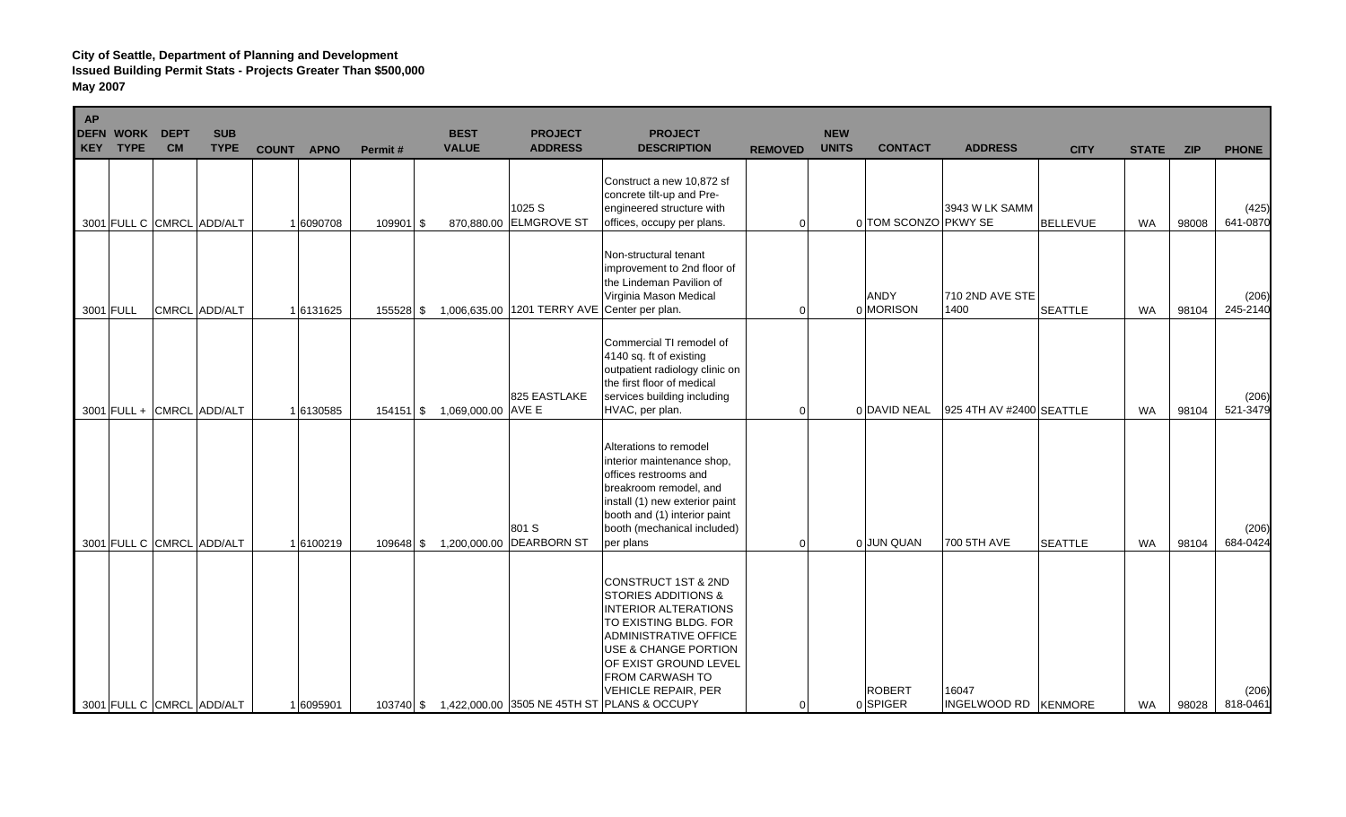| AP<br><b>DEFN</b> | <b>WORK</b><br><b>KEY TYPE</b> | <b>DEPT</b><br><b>CM</b> | <b>SUB</b><br><b>TYPE</b>                              | <b>COUNT</b> | <b>APNO</b>           | Permit#   | <b>BEST</b><br><b>VALUE</b>  | <b>PROJECT</b><br><b>ADDRESS</b>             | <b>PROJECT</b><br><b>DESCRIPTION</b>                                                                                                                                                                                                                                                                                  | <b>REMOVED</b>       | <b>NEW</b><br><b>UNITS</b> | <b>CONTACT</b>                          | <b>ADDRESS</b>           | <b>CITY</b>                      | <b>STATE</b>           | <b>ZIP</b>     | <b>PHONE</b>      |
|-------------------|--------------------------------|--------------------------|--------------------------------------------------------|--------------|-----------------------|-----------|------------------------------|----------------------------------------------|-----------------------------------------------------------------------------------------------------------------------------------------------------------------------------------------------------------------------------------------------------------------------------------------------------------------------|----------------------|----------------------------|-----------------------------------------|--------------------------|----------------------------------|------------------------|----------------|-------------------|
|                   |                                |                          | 3001 FULL C CMRCL ADD/ALT                              |              | 1 6090708             | 109901 \$ |                              | 1025 S<br>870,880.00 ELMGROVE ST             | Construct a new 10,872 sf<br>concrete tilt-up and Pre-<br>engineered structure with<br>offices, occupy per plans.                                                                                                                                                                                                     | $\Omega$             |                            | 0 TOM SCONZO PKWY SE                    | 3943 W LK SAMM           | <b>BELLEVUE</b>                  | <b>WA</b>              | 98008          | (425)<br>641-0870 |
|                   | 3001 FULL                      |                          | CMRCL ADD/ALT                                          |              | 16131625              | 155528 \$ |                              | 1,006,635.00 1201 TERRY AVE Center per plan. | Non-structural tenant<br>improvement to 2nd floor of<br>the Lindeman Pavilion of<br>Virginia Mason Medical                                                                                                                                                                                                            | $\Omega$             |                            | <b>ANDY</b><br>0 MORISON                | 710 2ND AVE STE<br>1400  | <b>SEATTLE</b>                   | <b>WA</b>              | 98104          | (206)<br>245-2140 |
|                   |                                |                          | 3001 FULL + CMRCL ADD/ALT                              |              | 1 6130585             |           | 154151 \$ 1,069,000.00 AVE E | 825 EASTLAKE                                 | Commercial TI remodel of<br>4140 sq. ft of existing<br>outpatient radiology clinic on<br>the first floor of medical<br>services building including<br>HVAC, per plan.                                                                                                                                                 | 0                    |                            | 0 DAVID NEAL                            | 925 4TH AV #2400 SEATTLE |                                  | <b>WA</b>              | 98104          | (206)<br>521-3479 |
|                   |                                |                          |                                                        |              |                       |           |                              | 801 S                                        | Alterations to remodel<br>interior maintenance shop,<br>offices restrooms and<br>breakroom remodel, and<br>install (1) new exterior paint<br>booth and (1) interior paint<br>booth (mechanical included)                                                                                                              |                      |                            |                                         | 700 5TH AVE              |                                  |                        |                | (206)<br>684-0424 |
|                   |                                |                          | 3001 FULL C CMRCL ADD/ALT<br>3001 FULL C CMRCL ADD/ALT |              | 16100219<br>1 6095901 | 109648 \$ |                              | 1,200,000.00 DEARBORN ST                     | per plans<br>CONSTRUCT 1ST & 2ND<br><b>STORIES ADDITIONS &amp;</b><br><b>INTERIOR ALTERATIONS</b><br>TO EXISTING BLDG. FOR<br><b>ADMINISTRATIVE OFFICE</b><br>USE & CHANGE PORTION<br>OF EXIST GROUND LEVEL<br>FROM CARWASH TO<br><b>VEHICLE REPAIR, PER</b><br>103740 \$ 1,422,000.00 3505 NE 45TH ST PLANS & OCCUPY | $\Omega$<br>$\Omega$ |                            | 0 JUN QUAN<br><b>ROBERT</b><br>0 SPIGER | 16047<br>INGELWOOD RD    | <b>SEATTLE</b><br><b>KENMORE</b> | <b>WA</b><br><b>WA</b> | 98104<br>98028 | (206)<br>818-0461 |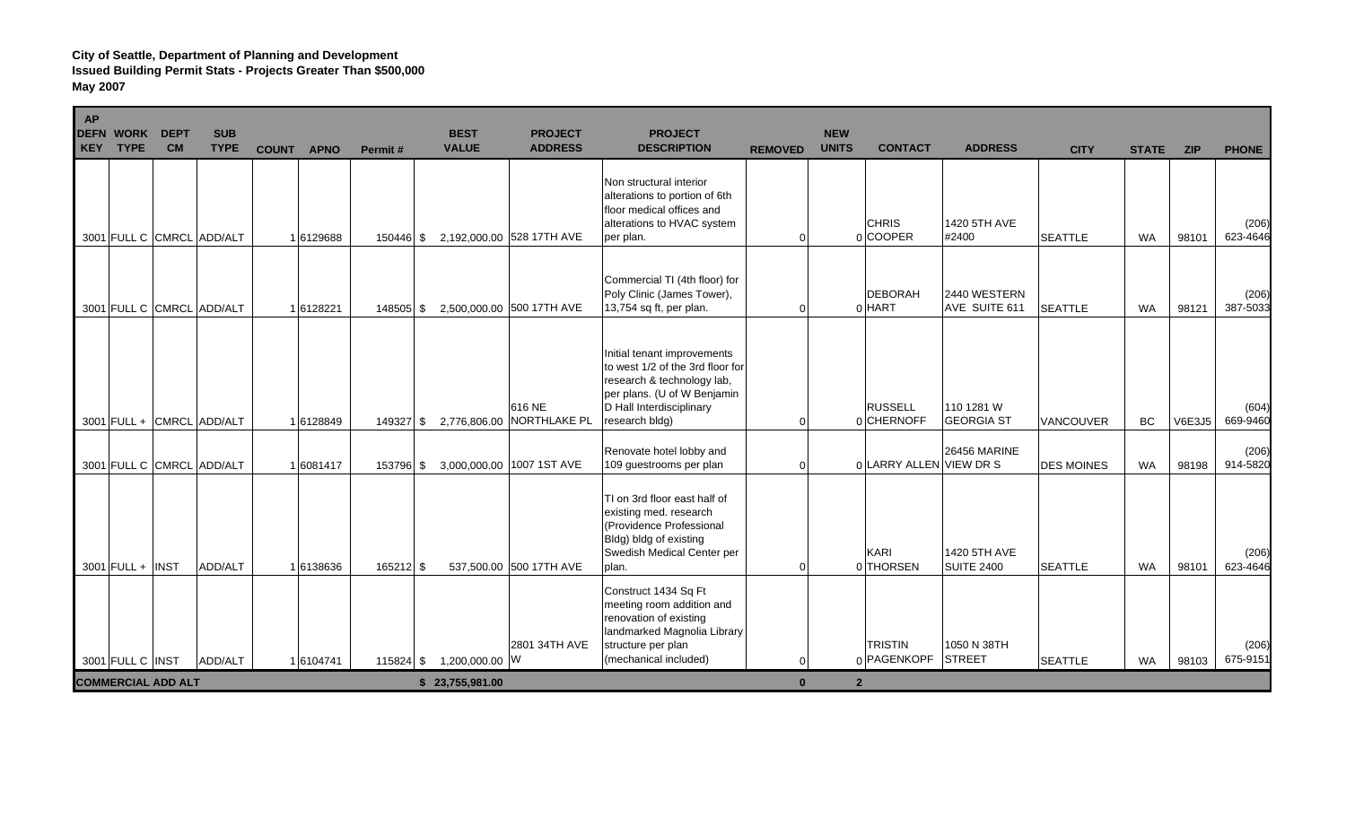| ı<br>AP | <b>DEFN WORK</b><br>KEY TYPE                  | <b>DEPT</b><br><b>CM</b> | <b>SUB</b><br><b>TYPE</b> | <b>COUNT</b> | <b>APNO</b><br>Permit# | <b>BEST</b><br><b>VALUE</b>       | <b>PROJECT</b><br><b>ADDRESS</b> | <b>PROJECT</b><br><b>DESCRIPTION</b>                                                                                                                                       | <b>REMOVED</b>           | <b>NEW</b><br><b>UNITS</b> | <b>CONTACT</b>                | <b>ADDRESS</b>                    | <b>CITY</b>       | <b>STATE</b> | <b>ZIP</b>    | <b>PHONE</b>      |
|---------|-----------------------------------------------|--------------------------|---------------------------|--------------|------------------------|-----------------------------------|----------------------------------|----------------------------------------------------------------------------------------------------------------------------------------------------------------------------|--------------------------|----------------------------|-------------------------------|-----------------------------------|-------------------|--------------|---------------|-------------------|
|         |                                               |                          | 3001 FULL C CMRCL ADD/ALT | 1 6129688    | 150446 \$              |                                   | 2,192,000.00 528 17TH AVE        | Non structural interior<br>alterations to portion of 6th<br>floor medical offices and<br>alterations to HVAC system<br>per plan.                                           | $\Omega$                 |                            | <b>CHRIS</b><br>0COOPER       | 1420 5TH AVE<br>#2400             | <b>SEATTLE</b>    | <b>WA</b>    | 98101         | (206)<br>623-4646 |
|         |                                               |                          | 3001 FULL C CMRCL ADD/ALT | 1 6128221    | 148505 \$              |                                   | 2,500,000.00 500 17TH AVE        | Commercial TI (4th floor) for<br>Poly Clinic (James Tower),<br>13,754 sq ft, per plan.                                                                                     | $\Omega$                 |                            | <b>DEBORAH</b><br>$0$ HART    | 2440 WESTERN<br>AVE SUITE 611     | <b>SEATTLE</b>    | <b>WA</b>    | 98121         | (206)<br>387-5033 |
|         |                                               |                          | 3001 FULL + CMRCL ADD/ALT | 1 6128849    | 149327 \$              | 2,776,806.00                      | 616 NE<br><b>NORTHLAKE PL</b>    | Initial tenant improvements<br>to west 1/2 of the 3rd floor for<br>research & technology lab,<br>per plans. (U of W Benjamin<br>D Hall Interdisciplinary<br>research bldg) | $\Omega$                 |                            | <b>RUSSELL</b><br>0 CHERNOFF  | 110 1281 W<br><b>GEORGIA ST</b>   | VANCOUVER         | BC           | <b>V6E3J5</b> | (604)<br>669-9460 |
|         |                                               |                          | 3001 FULL C CMRCL ADD/ALT | 1 6081417    | 153796 \$              |                                   | 3,000,000.00 1007 1ST AVE        | Renovate hotel lobby and<br>109 guestrooms per plan                                                                                                                        | $\Omega$                 |                            | 0 LARRY ALLEN VIEW DR S       | <b>26456 MARINE</b>               | <b>DES MOINES</b> | <b>WA</b>    | 98198         | (206)<br>914-5820 |
|         | $3001$ FULL + INST                            |                          | ADD/ALT                   | 16138636     | 165212 \$              |                                   | 537,500.00 500 17TH AVE          | TI on 3rd floor east half of<br>existing med. research<br>(Providence Professional<br>Bldg) bldg of existing<br>Swedish Medical Center per<br>plan.                        | $\Omega$                 |                            | KARI<br>0 THORSEN             | 1420 5TH AVE<br><b>SUITE 2400</b> | <b>SEATTLE</b>    | <b>WA</b>    | 98101         | (206)<br>623-4646 |
|         |                                               |                          |                           |              |                        |                                   | 2801 34TH AVE                    | Construct 1434 Sq Ft<br>meeting room addition and<br>renovation of existing<br>landmarked Magnolia Library<br>structure per plan<br>(mechanical included)                  |                          |                            | <b>TRISTIN</b><br>0 PAGENKOPF | 1050 N 38TH<br><b>STREET</b>      |                   |              |               | (206)<br>675-9151 |
|         | 3001 FULL C INST<br><b>COMMERCIAL ADD ALT</b> |                          | ADD/ALT                   | 16104741     | $115824$ \$            | 1,200,000.00 W<br>\$23,755,981.00 |                                  |                                                                                                                                                                            | $\Omega$<br>$\mathbf{0}$ | 2 <sup>2</sup>             |                               |                                   | <b>SEATTLE</b>    | <b>WA</b>    | 98103         |                   |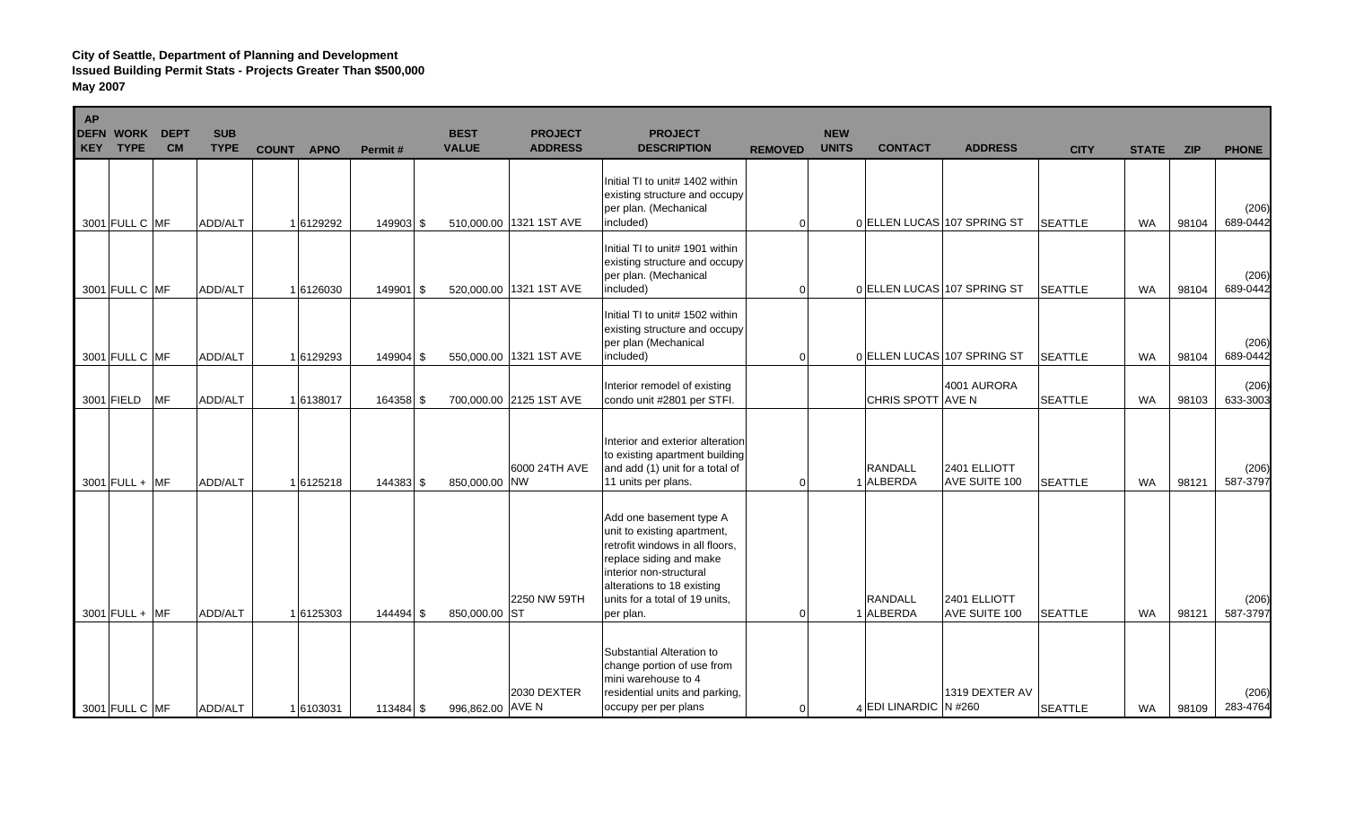| AP | <b>DEFN WORK</b><br><b>KEY TYPE</b> | <b>DEPT</b><br><b>CM</b> | <b>SUB</b><br><b>TYPE</b> | <b>COUNT</b> | <b>APNO</b> | Permit#     | <b>BEST</b><br><b>VALUE</b> | <b>PROJECT</b><br><b>ADDRESS</b> | <b>PROJECT</b><br><b>DESCRIPTION</b>                                                                                                                                                                                         | <b>REMOVED</b> | <b>NEW</b><br><b>UNITS</b> | <b>CONTACT</b>              | <b>ADDRESS</b>                | <b>CITY</b>    | <b>STATE</b> | <b>ZIP</b> | <b>PHONE</b>      |
|----|-------------------------------------|--------------------------|---------------------------|--------------|-------------|-------------|-----------------------------|----------------------------------|------------------------------------------------------------------------------------------------------------------------------------------------------------------------------------------------------------------------------|----------------|----------------------------|-----------------------------|-------------------------------|----------------|--------------|------------|-------------------|
|    | 3001 FULL C MF                      |                          | ADD/ALT                   |              | 1 6129292   | 149903 \$   |                             | 510,000.00 1321 1ST AVE          | Initial TI to unit# 1402 within<br>existing structure and occupy<br>per plan. (Mechanical<br>included)                                                                                                                       | 0              |                            | 0 ELLEN LUCAS 107 SPRING ST |                               | <b>SEATTLE</b> | <b>WA</b>    | 98104      | (206)<br>689-0442 |
|    | 3001 FULL C MF                      |                          | ADD/ALT                   |              | 1 6126030   | 149901 \$   |                             | 520,000.00 1321 1ST AVE          | Initial TI to unit# 1901 within<br>existing structure and occupy<br>per plan. (Mechanical<br>included)                                                                                                                       | ∩              |                            | 0 ELLEN LUCAS 107 SPRING ST |                               | <b>SEATTLE</b> | <b>WA</b>    | 98104      | (206)<br>689-0442 |
|    | 3001 FULL C MF                      |                          | ADD/ALT                   |              | 1 6129293   | 149904 \$   |                             | 550,000.00 1321 1ST AVE          | Initial TI to unit# 1502 within<br>existing structure and occupy<br>per plan (Mechanical<br>included)                                                                                                                        | $\Omega$       |                            | 0 ELLEN LUCAS 107 SPRING ST |                               | <b>SEATTLE</b> | <b>WA</b>    | 98104      | (206)<br>689-0442 |
|    | 3001 FIELD                          | <b>MF</b>                | ADD/ALT                   |              | 1 6138017   | 164358 \$   |                             | 700,000.00 2125 1ST AVE          | Interior remodel of existing<br>condo unit #2801 per STFI.                                                                                                                                                                   |                |                            | <b>CHRIS SPOTT AVE N</b>    | 4001 AURORA                   | <b>SEATTLE</b> | <b>WA</b>    | 98103      | (206)<br>633-3003 |
|    | $3001$ FULL + MF                    |                          | ADD/ALT                   |              | 16125218    | 144383 \$   | 850,000.00 NW               | 6000 24TH AVE                    | Interior and exterior alteration<br>to existing apartment building<br>and add (1) unit for a total of<br>11 units per plans.                                                                                                 | $\Omega$       |                            | <b>RANDALL</b><br>1 ALBERDA | 2401 ELLIOTT<br>AVE SUITE 100 | <b>SEATTLE</b> | WA           | 98121      | (206)<br>587-3797 |
|    | $3001$ FULL + MF                    |                          | ADD/ALT                   |              | 1 6125303   | 144494 \$   | 850,000.00 ST               | 2250 NW 59TH                     | Add one basement type A<br>unit to existing apartment,<br>retrofit windows in all floors,<br>replace siding and make<br>interior non-structural<br>alterations to 18 existing<br>units for a total of 19 units,<br>per plan. | 0              |                            | <b>RANDALL</b><br>1 ALBERDA | 2401 ELLIOTT<br>AVE SUITE 100 | <b>SEATTLE</b> | <b>WA</b>    | 98121      | (206)<br>587-3797 |
|    | 3001 FULL C MF                      |                          | ADD/ALT                   |              | 1 6103031   | $113484$ \$ | 996,862.00 AVE N            | 2030 DEXTER                      | Substantial Alteration to<br>change portion of use from<br>mini warehouse to 4<br>residential units and parking,<br>occupy per per plans                                                                                     | $\Omega$       |                            | $_4$ EDI LINARDIC N #260    | 1319 DEXTER AV                | <b>SEATTLE</b> | <b>WA</b>    | 98109      | (206)<br>283-4764 |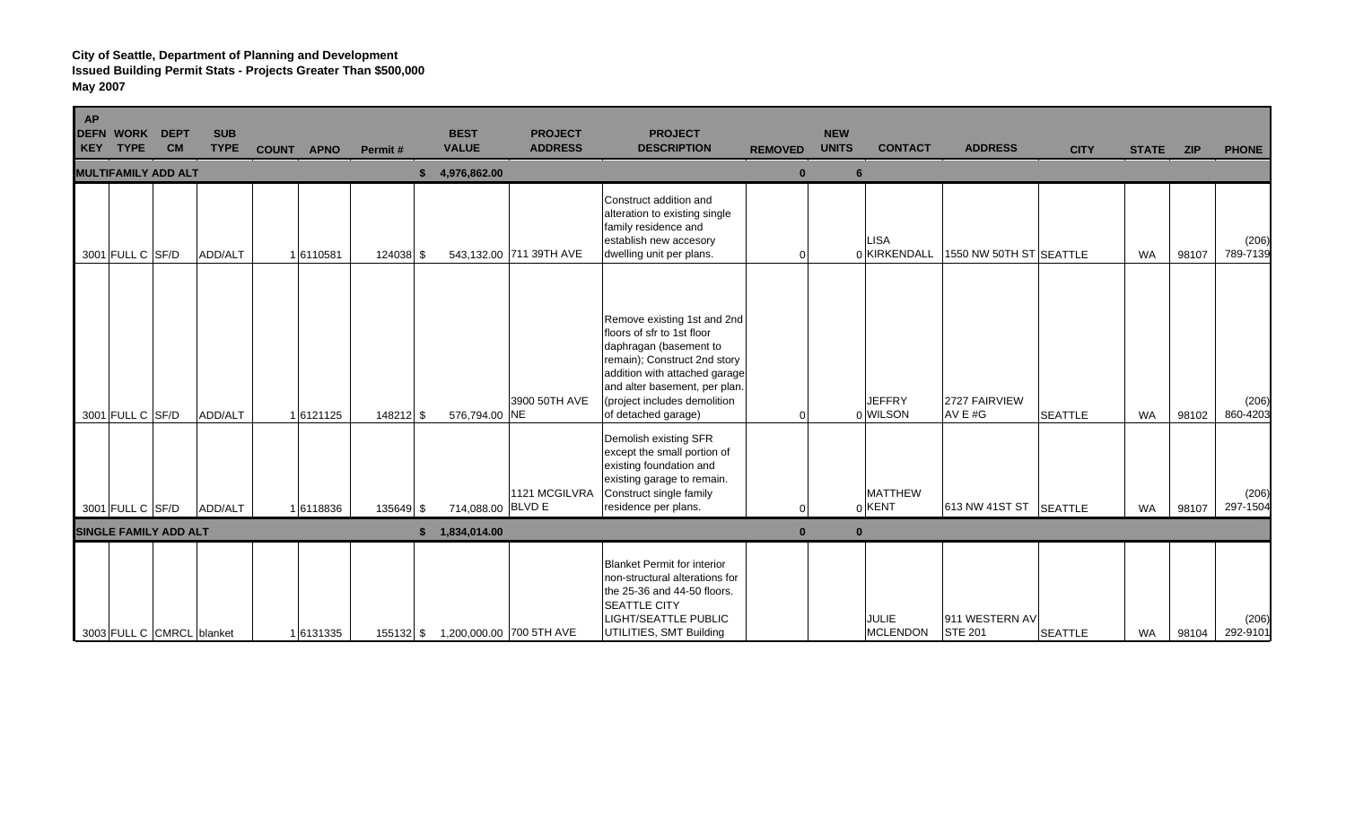| <b>AP</b> | <b>DEFN WORK</b><br><b>KEY TYPE</b> | <b>DEPT</b><br><b>CM</b>     | <b>SUB</b><br><b>TYPE</b> | COUNT APNO |           | Permit#   | <b>BEST</b><br><b>VALUE</b> | <b>PROJECT</b><br><b>ADDRESS</b>   | <b>PROJECT</b><br><b>DESCRIPTION</b>                                                                                                                                                                                                         | <b>REMOVED</b> | <b>NEW</b><br><b>UNITS</b> | <b>CONTACT</b>                  | <b>ADDRESS</b>                   | <b>CITY</b>    | STATE ZIP |       | <b>PHONE</b>      |
|-----------|-------------------------------------|------------------------------|---------------------------|------------|-----------|-----------|-----------------------------|------------------------------------|----------------------------------------------------------------------------------------------------------------------------------------------------------------------------------------------------------------------------------------------|----------------|----------------------------|---------------------------------|----------------------------------|----------------|-----------|-------|-------------------|
|           |                                     | <b>MULTIFAMILY ADD ALT</b>   |                           |            |           |           | 4,976,862.00                |                                    |                                                                                                                                                                                                                                              | $\bf{0}$       | 6                          |                                 |                                  |                |           |       |                   |
|           | 3001 FULL C SF/D                    |                              | ADD/ALT                   |            | 16110581  | 124038 \$ |                             | 543,132.00 711 39TH AVE            | Construct addition and<br>alteration to existing single<br>family residence and<br>establish new accesory<br>dwelling unit per plans.                                                                                                        | 0              |                            | <b>LISA</b><br>0 KIRKENDALL     | 1550 NW 50TH ST SEATTLE          |                | <b>WA</b> | 98107 | (206)<br>789-7139 |
|           | 3001 FULL C SF/D                    |                              | ADD/ALT                   |            | 1 6121125 | 148212 \$ | 576,794.00 NE               | 3900 50TH AVE                      | Remove existing 1st and 2nd<br>floors of sfr to 1st floor<br>daphragan (basement to<br>remain); Construct 2nd story<br>addition with attached garage<br>and alter basement, per plan.<br>(project includes demolition<br>of detached garage) | $\Omega$       |                            | <b>JEFFRY</b><br>0 WILSON       | 2727 FAIRVIEW<br>AV $E#G$        | <b>SEATTLE</b> | <b>WA</b> | 98102 | (206)<br>860-4203 |
|           | 3001 FULL C SF/D                    |                              | ADD/ALT                   |            | 16118836  | 135649 \$ | 714,088.00 BLVD E           | 1121 MCGILVRA                      | Demolish existing SFR<br>except the small portion of<br>existing foundation and<br>existing garage to remain.<br>Construct single family<br>residence per plans.                                                                             | <sup>0</sup>   |                            | <b>MATTHEW</b><br>$0$ KENT      | 613 NW 41ST ST SEATTLE           |                | <b>WA</b> | 98107 | (206)<br>297-1504 |
|           |                                     | <b>SINGLE FAMILY ADD ALT</b> |                           |            |           |           | 1,834,014.00                |                                    |                                                                                                                                                                                                                                              | $\bf{0}$       | $\bf{0}$                   |                                 |                                  |                |           |       |                   |
|           |                                     | 3003 FULL C CMRCL blanket    |                           |            | 1 6131335 |           |                             | 155132 \$ 1,200,000.00 700 5TH AVE | <b>Blanket Permit for interior</b><br>non-structural alterations for<br>the 25-36 and 44-50 floors.<br><b>SEATTLE CITY</b><br><b>LIGHT/SEATTLE PUBLIC</b><br>UTILITIES, SMT Building                                                         |                |                            | <b>JULIE</b><br><b>MCLENDON</b> | 911 WESTERN AV<br><b>STE 201</b> | <b>SEATTLE</b> | <b>WA</b> | 98104 | (206)<br>292-9101 |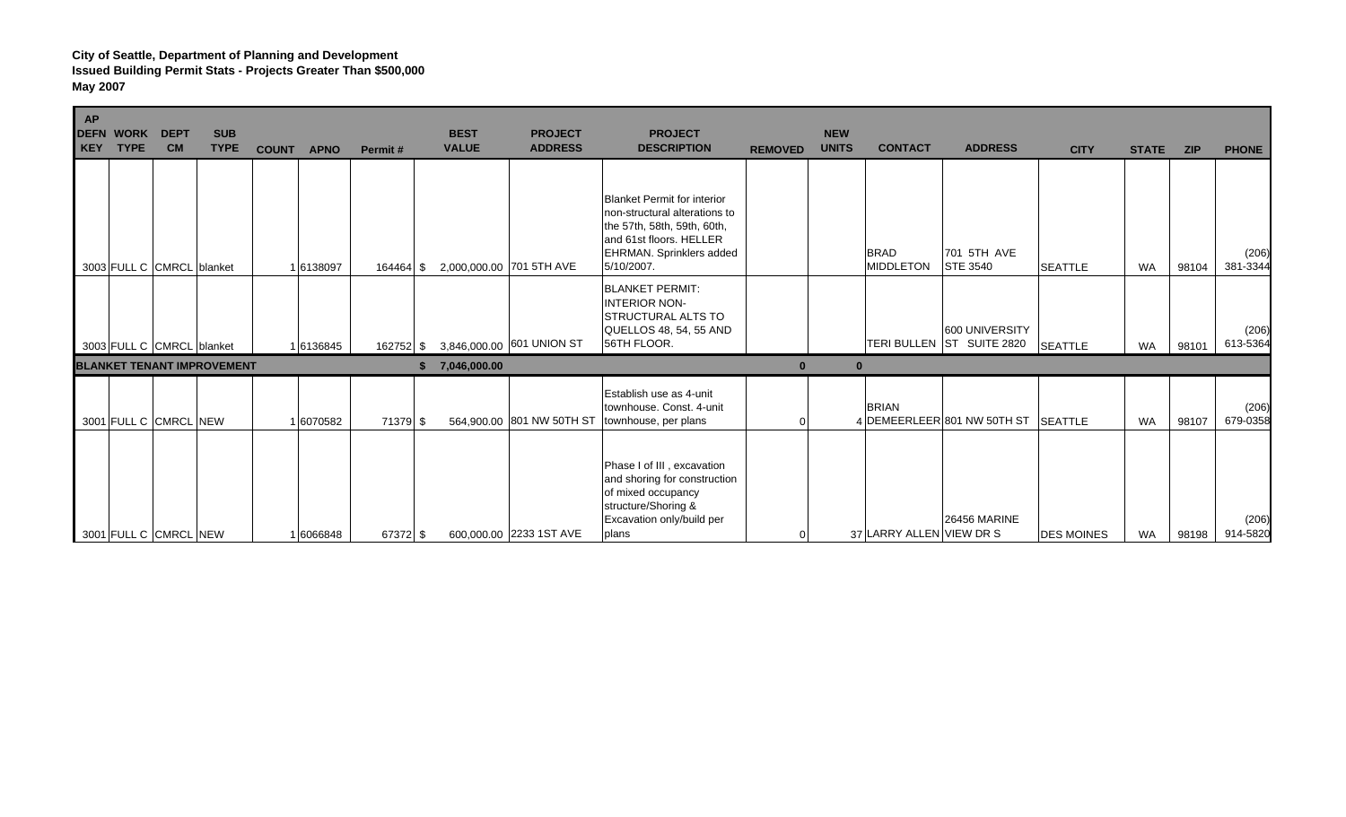| AP<br>KEY | <b>DEFN WORK</b><br><b>TYPE</b> | <b>DEPT</b><br><b>CM</b> | <b>SUB</b><br><b>TYPE</b>         | <b>COUNT</b> | <b>APNO</b> | Permit#   | <b>BEST</b><br><b>VALUE</b> | <b>PROJECT</b><br><b>ADDRESS</b> | <b>PROJECT</b><br><b>DESCRIPTION</b>                                                                                                                                    | <b>REMOVED</b> | <b>NEW</b><br><b>UNITS</b> | <b>CONTACT</b>                  | <b>ADDRESS</b>                              | <b>CITY</b>       | <b>STATE</b> | <b>ZIP</b> | <b>PHONE</b>      |
|-----------|---------------------------------|--------------------------|-----------------------------------|--------------|-------------|-----------|-----------------------------|----------------------------------|-------------------------------------------------------------------------------------------------------------------------------------------------------------------------|----------------|----------------------------|---------------------------------|---------------------------------------------|-------------------|--------------|------------|-------------------|
|           | 3003 FULL C CMRCL blanket       |                          |                                   |              | 1 6138097   | 164464 \$ |                             | 2,000,000.00 701 5TH AVE         | Blanket Permit for interior<br>non-structural alterations to<br>the 57th, 58th, 59th, 60th,<br>and 61st floors. HELLER<br><b>EHRMAN.</b> Sprinklers added<br>5/10/2007. |                |                            | <b>BRAD</b><br><b>MIDDLETON</b> | 701 5TH AVE<br><b>STE 3540</b>              | <b>SEATTLE</b>    | <b>WA</b>    | 98104      | (206)<br>381-3344 |
|           | 3003 FULL C CMRCL blanket       |                          |                                   |              | 16136845    | 162752 \$ |                             | 3,846,000.00 601 UNION ST        | <b>BLANKET PERMIT:</b><br><b>INTERIOR NON-</b><br><b>STRUCTURAL ALTS TO</b><br>QUELLOS 48, 54, 55 AND<br>56TH FLOOR.                                                    |                |                            |                                 | 600 UNIVERSITY<br>TERI BULLEN ST SUITE 2820 | <b>SEATTLE</b>    | <b>WA</b>    | 98101      | (206)<br>613-5364 |
|           |                                 |                          | <b>BLANKET TENANT IMPROVEMENT</b> |              |             |           | 7,046,000.00                |                                  |                                                                                                                                                                         | $\bf{0}$       |                            |                                 |                                             |                   |              |            |                   |
|           | 3001 FULL C CMRCL NEW           |                          |                                   |              | 1 6070582   | 71379 \$  |                             | 564,900.00 801 NW 50TH ST        | Establish use as 4-unit<br>townhouse. Const. 4-unit<br>townhouse, per plans                                                                                             |                |                            | <b>BRIAN</b>                    | 4 DEMEERLEER 801 NW 50TH ST SEATTLE         |                   | <b>WA</b>    | 98107      | (206)<br>679-0358 |
|           | 3001 FULL C CMRCL NEW           |                          |                                   |              | 1 6066848   | 67372 \$  |                             | 600,000.00 2233 1ST AVE          | Phase I of III, excavation<br>and shoring for construction<br>of mixed occupancy<br>structure/Shoring &<br>Excavation only/build per<br>plans                           |                |                            | 37 LARRY ALLEN VIEW DR S        | <b>26456 MARINE</b>                         | <b>DES MOINES</b> | <b>WA</b>    | 98198      | (206)<br>914-5820 |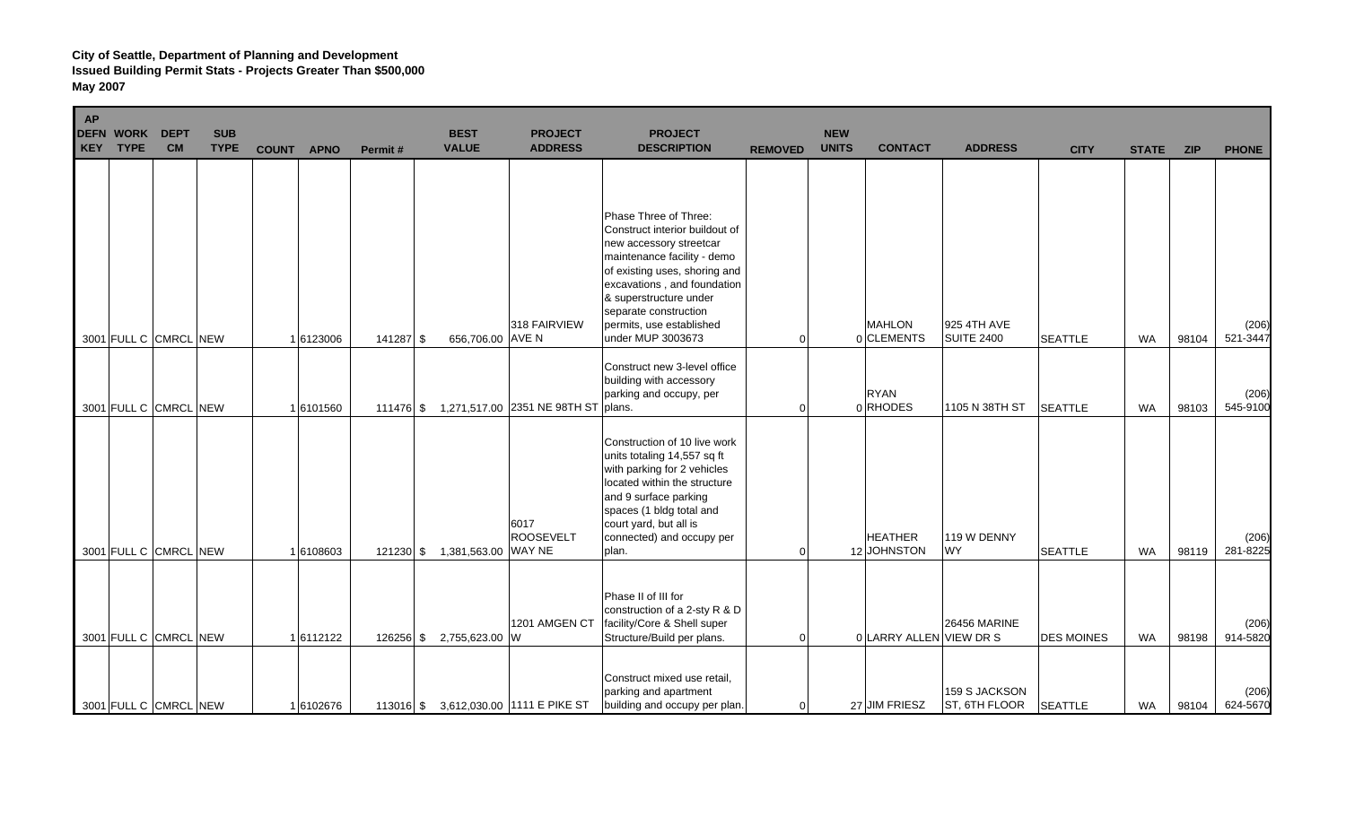| AP<br><b>KEY</b> | <b>DEFN WORK</b><br><b>TYPE</b> | <b>DEPT</b><br><b>CM</b> | <b>SUB</b><br><b>TYPE</b> | <b>COUNT</b> | <b>APNO</b> | Permit#     | <b>BEST</b><br><b>VALUE</b> | <b>PROJECT</b><br><b>ADDRESS</b>              | <b>PROJECT</b><br><b>DESCRIPTION</b>                                                                                                                                                                                                                                                  | <b>REMOVED</b> | <b>NEW</b><br><b>UNITS</b> | <b>CONTACT</b>                | <b>ADDRESS</b>                   | <b>CITY</b>       | <b>STATE</b> | <b>ZIP</b> | <b>PHONE</b>      |
|------------------|---------------------------------|--------------------------|---------------------------|--------------|-------------|-------------|-----------------------------|-----------------------------------------------|---------------------------------------------------------------------------------------------------------------------------------------------------------------------------------------------------------------------------------------------------------------------------------------|----------------|----------------------------|-------------------------------|----------------------------------|-------------------|--------------|------------|-------------------|
|                  | 3001 FULL C CMRCL NEW           |                          |                           |              | 1 6123006   | 141287 \$   | 656,706.00 AVE N            | 318 FAIRVIEW                                  | Phase Three of Three:<br>Construct interior buildout of<br>new accessory streetcar<br>maintenance facility - demo<br>of existing uses, shoring and<br>excavations, and foundation<br>& superstructure under<br>separate construction<br>permits, use established<br>under MUP 3003673 | $\Omega$       |                            | <b>MAHLON</b><br>0 CLEMENTS   | 925 4TH AVE<br><b>SUITE 2400</b> | <b>SEATTLE</b>    | <b>WA</b>    | 98104      | (206)<br>521-3447 |
|                  | 3001 FULL C CMRCL NEW           |                          |                           |              | 16101560    |             |                             | 111476 \$ 1,271,517.00 2351 NE 98TH ST plans. | Construct new 3-level office<br>building with accessory<br>parking and occupy, per                                                                                                                                                                                                    | $\Omega$       |                            | <b>RYAN</b><br>0RHODES        | 1105 N 38TH ST                   | <b>SEATTLE</b>    | WA           | 98103      | (206)<br>545-9100 |
|                  | 3001 FULL C CMRCL NEW           |                          |                           |              | 1 6108603   | $121230$ \$ | 1,381,563.00 WAY NE         | 6017<br><b>ROOSEVELT</b>                      | Construction of 10 live work<br>units totaling 14,557 sq ft<br>with parking for 2 vehicles<br>located within the structure<br>and 9 surface parking<br>spaces (1 bldg total and<br>court yard, but all is<br>connected) and occupy per<br>plan.                                       | $\Omega$       |                            | <b>HEATHER</b><br>12 JOHNSTON | 119 W DENNY<br><b>WY</b>         | <b>SEATTLE</b>    | <b>WA</b>    | 98119      | (206)<br>281-8225 |
|                  | 3001 FULL C CMRCL NEW           |                          |                           |              | 1 6112122   |             | 126256 \$ 2,755,623.00 W    | 1201 AMGEN CT                                 | Phase II of III for<br>construction of a 2-sty R & D<br>facility/Core & Shell super<br>Structure/Build per plans.                                                                                                                                                                     | $\Omega$       |                            | 0 LARRY ALLEN VIEW DR S       | 26456 MARINE                     | <b>DES MOINES</b> | <b>WA</b>    | 98198      | (206)<br>914-5820 |
|                  | 3001 FULL C CMRCL NEW           |                          |                           |              | 16102676    |             |                             | 113016 \$ 3,612,030.00 1111 E PIKE ST         | Construct mixed use retail,<br>parking and apartment<br>building and occupy per plan.                                                                                                                                                                                                 | $\Omega$       |                            | 27 JIM FRIESZ                 | 159 S JACKSON<br>ST, 6TH FLOOR   | <b>SEATTLE</b>    | <b>WA</b>    | 98104      | (206)<br>624-5670 |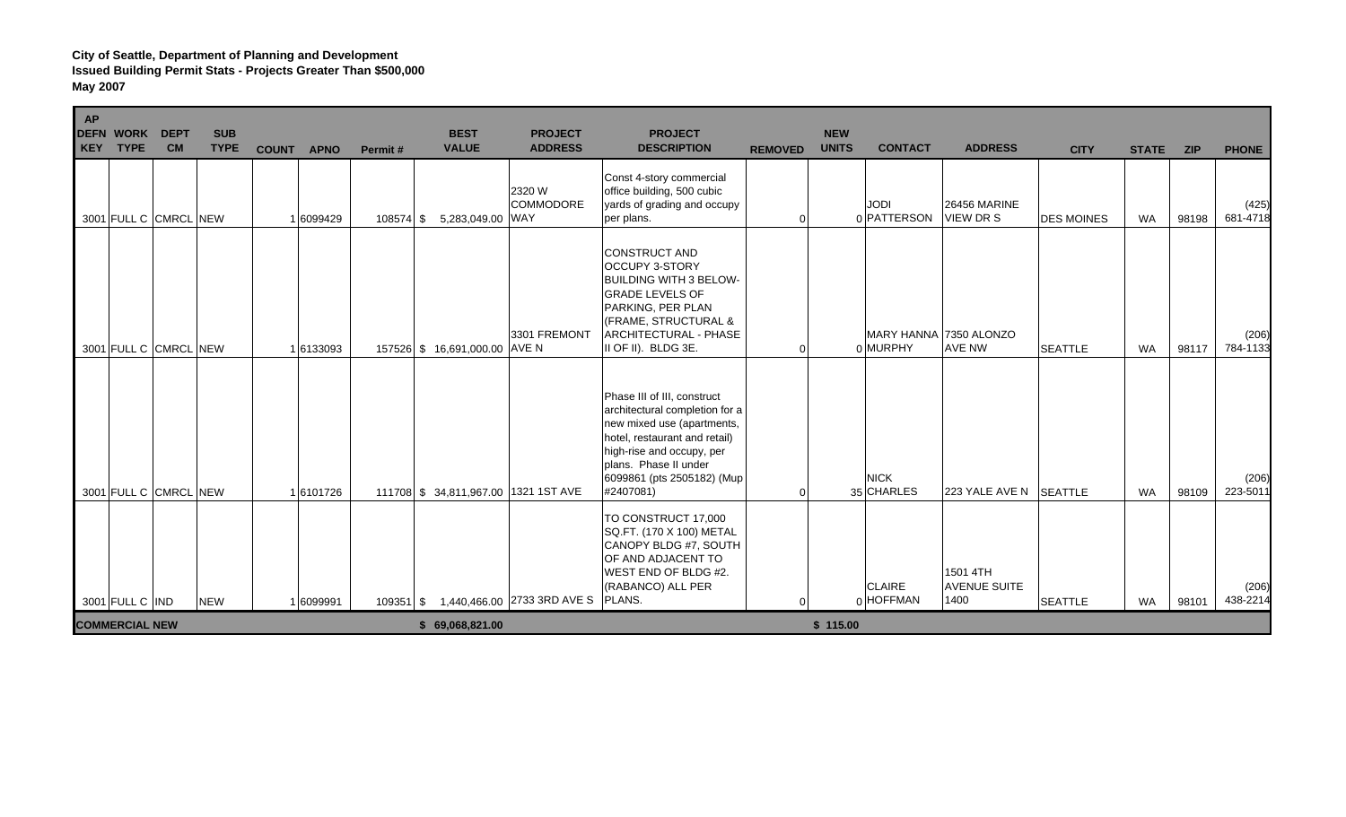| <b>AP</b><br><b>DEFN WORK</b><br><b>TYPE</b><br>KEY | <b>DEPT</b><br><b>CM</b> | <b>SUB</b><br><b>TYPE</b> | <b>COUNT</b><br><b>APNO</b> | Permit#   | <b>BEST</b><br><b>VALUE</b>          | <b>PROJECT</b><br><b>ADDRESS</b>             | <b>PROJECT</b><br><b>DESCRIPTION</b>                                                                                                                                                                                          | <b>REMOVED</b> | <b>NEW</b><br><b>UNITS</b> | <b>CONTACT</b>                     | <b>ADDRESS</b>                          | <b>CITY</b>       | <b>STATE</b> | <b>ZIP</b> | <b>PHONE</b>      |
|-----------------------------------------------------|--------------------------|---------------------------|-----------------------------|-----------|--------------------------------------|----------------------------------------------|-------------------------------------------------------------------------------------------------------------------------------------------------------------------------------------------------------------------------------|----------------|----------------------------|------------------------------------|-----------------------------------------|-------------------|--------------|------------|-------------------|
| 3001 FULL C CMRCL NEW                               |                          |                           | 1 6099429                   | 108574 \$ | 5,283,049.00 WAY                     | 2320 W<br><b>COMMODORE</b>                   | Const 4-story commercial<br>office building, 500 cubic<br>yards of grading and occupy<br>per plans.                                                                                                                           | $\Omega$       |                            | <b>JODI</b><br>0 PATTERSON         | <b>26456 MARINE</b><br><b>VIEW DR S</b> | <b>DES MOINES</b> | <b>WA</b>    | 98198      | (425)<br>681-4718 |
| 3001 FULL C CMRCL NEW                               |                          |                           | 1 6133093                   |           | 157526 \$16,691,000.00 AVE N         | 3301 FREMONT                                 | <b>CONSTRUCT AND</b><br><b>OCCUPY 3-STORY</b><br><b>BUILDING WITH 3 BELOW-</b><br><b>GRADE LEVELS OF</b><br>PARKING, PER PLAN<br>(FRAME, STRUCTURAL &<br>ARCHITECTURAL - PHASE<br>II OF II). BLDG 3E.                         | $\Omega$       |                            | MARY HANNA 7350 ALONZO<br>0 MURPHY | <b>AVE NW</b>                           | <b>SEATTLE</b>    | <b>WA</b>    | 98117      | (206)<br>784-1133 |
| 3001 FULL C CMRCL NEW                               |                          |                           | 16101726                    |           | 111708 \$ 34,811,967.00 1321 1ST AVE |                                              | Phase III of III, construct<br>architectural completion for a<br>new mixed use (apartments,<br>hotel, restaurant and retail)<br>high-rise and occupy, per<br>plans. Phase II under<br>6099861 (pts 2505182) (Mup<br>#2407081) | $\Omega$       |                            | <b>NICK</b><br>35 CHARLES          | 223 YALE AVE N SEATTLE                  |                   | <b>WA</b>    | 98109      | (206)<br>223-5011 |
| 3001 FULL C IND                                     |                          | <b>NEW</b>                | 1 6099991                   |           |                                      | 109351 \$ 1,440,466.00 2733 3RD AVE S PLANS. | TO CONSTRUCT 17,000<br>SQ.FT. (170 X 100) METAL<br>CANOPY BLDG #7, SOUTH<br>OF AND ADJACENT TO<br>WEST END OF BLDG #2.<br>(RABANCO) ALL PER                                                                                   | $\Omega$       |                            | <b>CLAIRE</b><br>$0$ HOFFMAN       | 1501 4TH<br><b>AVENUE SUITE</b><br>1400 | <b>SEATTLE</b>    | WA           | 98101      | (206)<br>438-2214 |
| <b>COMMERCIAL NEW</b>                               |                          |                           |                             |           | \$69,068,821.00                      |                                              |                                                                                                                                                                                                                               |                | \$115.00                   |                                    |                                         |                   |              |            |                   |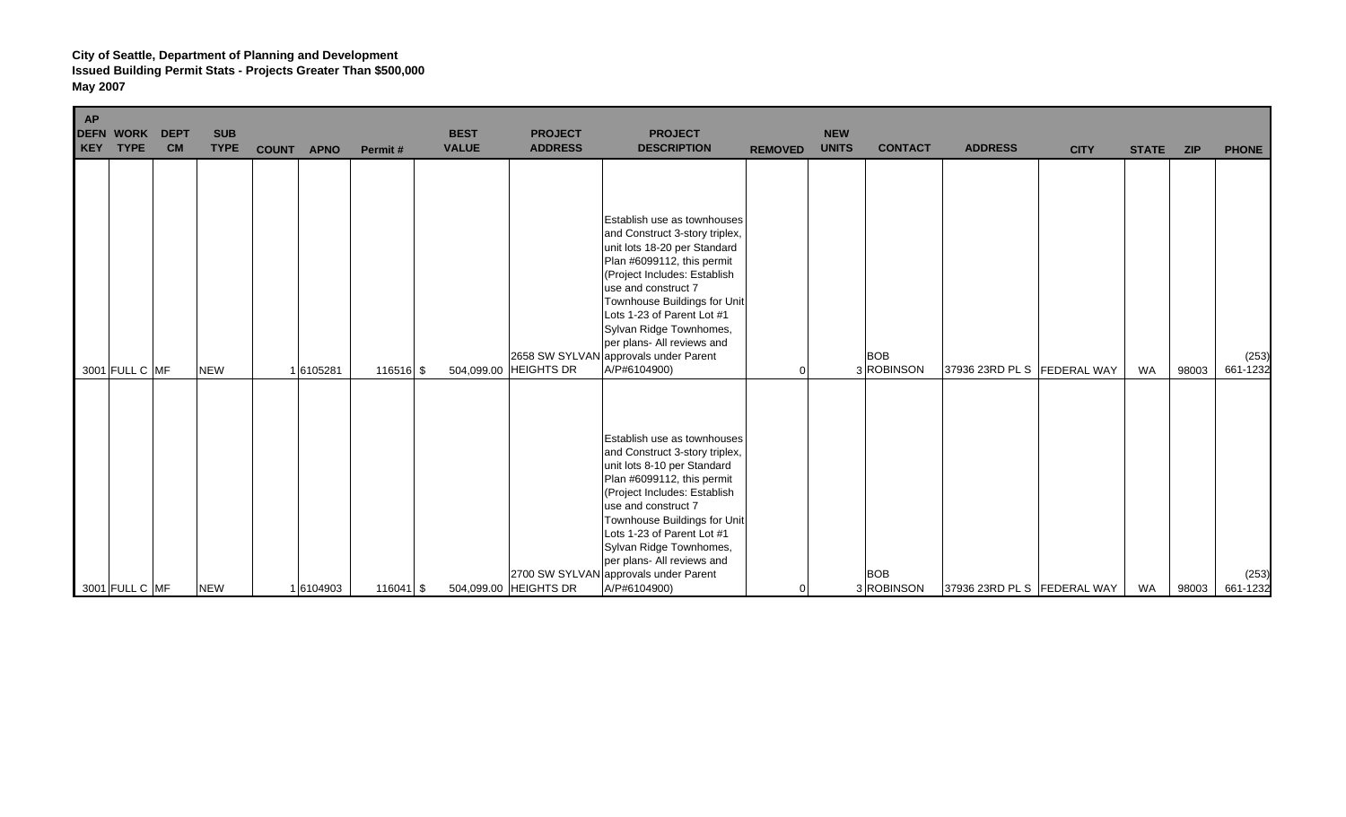| AP<br>DEFN WORK<br>KEY<br><b>TYPE</b> | <b>DEPT</b><br><b>CM</b> | <b>SUB</b><br><b>TYPE</b> | <b>COUNT</b><br><b>APNO</b> | Permit#     | <b>BEST</b><br><b>VALUE</b> | <b>PROJECT</b><br><b>ADDRESS</b> | <b>PROJECT</b><br><b>DESCRIPTION</b>                                                                                                                                                                                                                                                                                                                               | <b>REMOVED</b> | <b>NEW</b><br><b>UNITS</b> | <b>CONTACT</b>           | <b>ADDRESS</b>                | <b>CITY</b> | <b>STATE</b> | <b>ZIP</b> | <b>PHONE</b>      |
|---------------------------------------|--------------------------|---------------------------|-----------------------------|-------------|-----------------------------|----------------------------------|--------------------------------------------------------------------------------------------------------------------------------------------------------------------------------------------------------------------------------------------------------------------------------------------------------------------------------------------------------------------|----------------|----------------------------|--------------------------|-------------------------------|-------------|--------------|------------|-------------------|
| 3001 FULL C MF                        |                          | <b>NEW</b>                | 16105281                    | 116516 \$   | 504,099.00                  | <b>HEIGHTS DR</b>                | Establish use as townhouses<br>and Construct 3-story triplex,<br>unit lots 18-20 per Standard<br>Plan #6099112, this permit<br>(Project Includes: Establish<br>use and construct 7<br>Townhouse Buildings for Unit<br>Lots 1-23 of Parent Lot #1<br>Sylvan Ridge Townhomes,<br>per plans- All reviews and<br>2658 SW SYLVAN approvals under Parent<br>A/P#6104900) |                |                            | <b>BOB</b><br>3 ROBINSON | 37936 23RD PL S   FEDERAL WAY |             | <b>WA</b>    | 98003      | (253)<br>661-1232 |
| 3001 FULL C MF                        |                          | <b>NEW</b>                | 1 6104903                   | $116041$ \$ |                             | 504,099.00 HEIGHTS DR            | Establish use as townhouses<br>and Construct 3-story triplex,<br>unit lots 8-10 per Standard<br>Plan #6099112, this permit<br>(Project Includes: Establish<br>use and construct 7<br>Townhouse Buildings for Unit<br>Lots 1-23 of Parent Lot #1<br>Sylvan Ridge Townhomes,<br>per plans- All reviews and<br>2700 SW SYLVAN approvals under Parent<br>A/P#6104900)  | $\overline{0}$ |                            | <b>BOB</b><br>3ROBINSON  | 37936 23RD PL S   FEDERAL WAY |             | WA           | 98003      | (253)<br>661-1232 |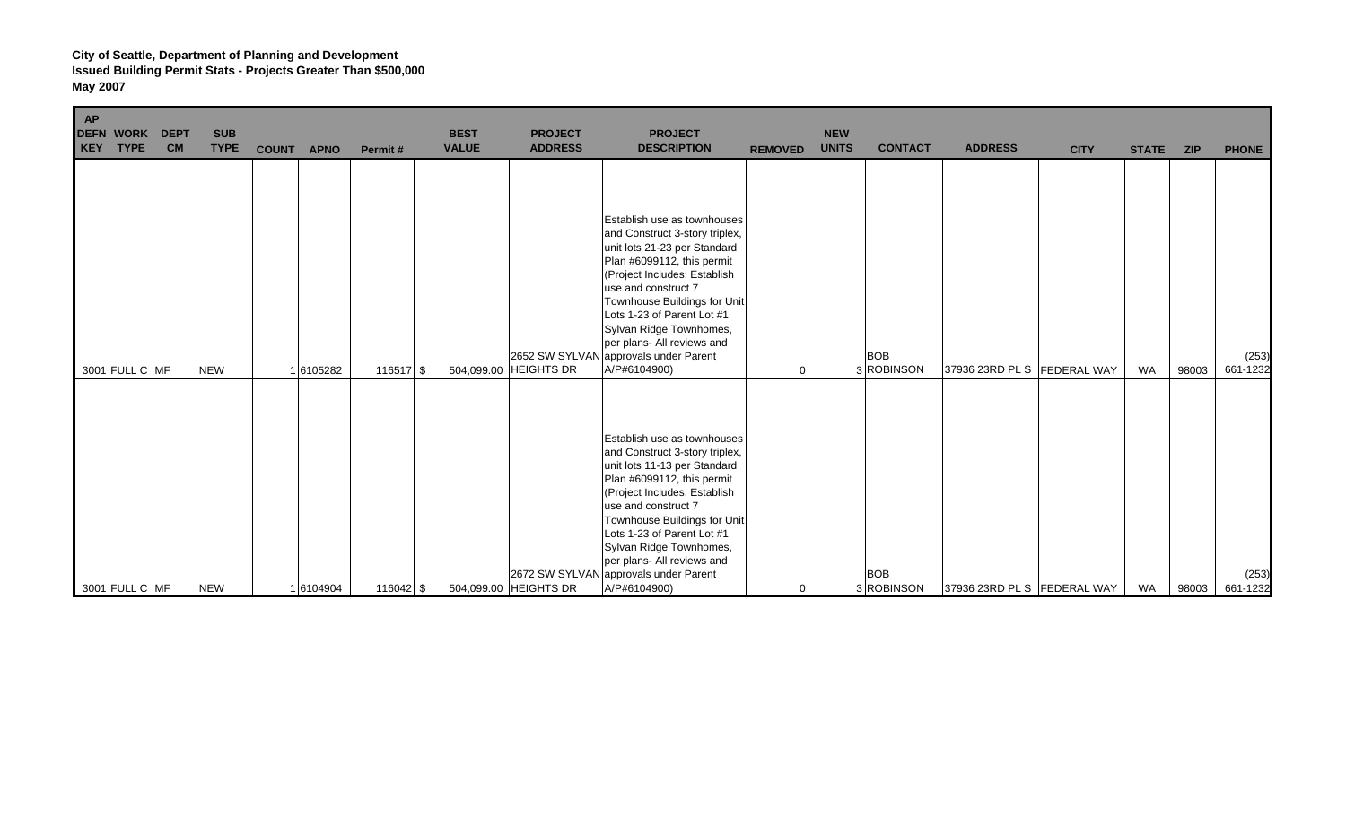| AP<br>DEFN WORK<br><b>KEY</b><br><b>TYPE</b> | <b>DEPT</b><br><b>CM</b> | <b>SUB</b><br><b>TYPE</b> | <b>COUNT</b><br><b>APNO</b> | Permit#     | <b>BEST</b><br><b>VALUE</b> | <b>PROJECT</b><br><b>ADDRESS</b> | <b>PROJECT</b><br><b>DESCRIPTION</b>                                                                                                                                                                                                                                                                                                                               | <b>REMOVED</b> | <b>NEW</b><br><b>UNITS</b> | <b>CONTACT</b>           | <b>ADDRESS</b>              | <b>CITY</b> | <b>STATE</b> | <b>ZIP</b> | <b>PHONE</b>      |
|----------------------------------------------|--------------------------|---------------------------|-----------------------------|-------------|-----------------------------|----------------------------------|--------------------------------------------------------------------------------------------------------------------------------------------------------------------------------------------------------------------------------------------------------------------------------------------------------------------------------------------------------------------|----------------|----------------------------|--------------------------|-----------------------------|-------------|--------------|------------|-------------------|
| 3001 FULL C MF                               |                          | <b>NEW</b>                | 1 6105282                   | 116517 \$   | 504,099.00                  | <b>HEIGHTS DR</b>                | Establish use as townhouses<br>and Construct 3-story triplex,<br>unit lots 21-23 per Standard<br>Plan #6099112, this permit<br>(Project Includes: Establish<br>use and construct 7<br>Townhouse Buildings for Unit<br>Lots 1-23 of Parent Lot #1<br>Sylvan Ridge Townhomes,<br>per plans- All reviews and<br>2652 SW SYLVAN approvals under Parent<br>A/P#6104900) | 0              |                            | <b>BOB</b><br>3 ROBINSON | 37936 23RD PL S FEDERAL WAY |             | <b>WA</b>    | 98003      | (253)<br>661-1232 |
| 3001 FULL C MF                               |                          | <b>NEW</b>                | 1 6104904                   | $116042$ \$ |                             | 504,099.00 HEIGHTS DR            | Establish use as townhouses<br>and Construct 3-story triplex,<br>unit lots 11-13 per Standard<br>Plan #6099112, this permit<br>(Project Includes: Establish<br>use and construct 7<br>Townhouse Buildings for Unit<br>Lots 1-23 of Parent Lot #1<br>Sylvan Ridge Townhomes,<br>per plans- All reviews and<br>2672 SW SYLVAN approvals under Parent<br>A/P#6104900) | 0              |                            | <b>BOB</b><br>3 ROBINSON | 37936 23RD PL S FEDERAL WAY |             | <b>WA</b>    | 98003      | (253)<br>661-1232 |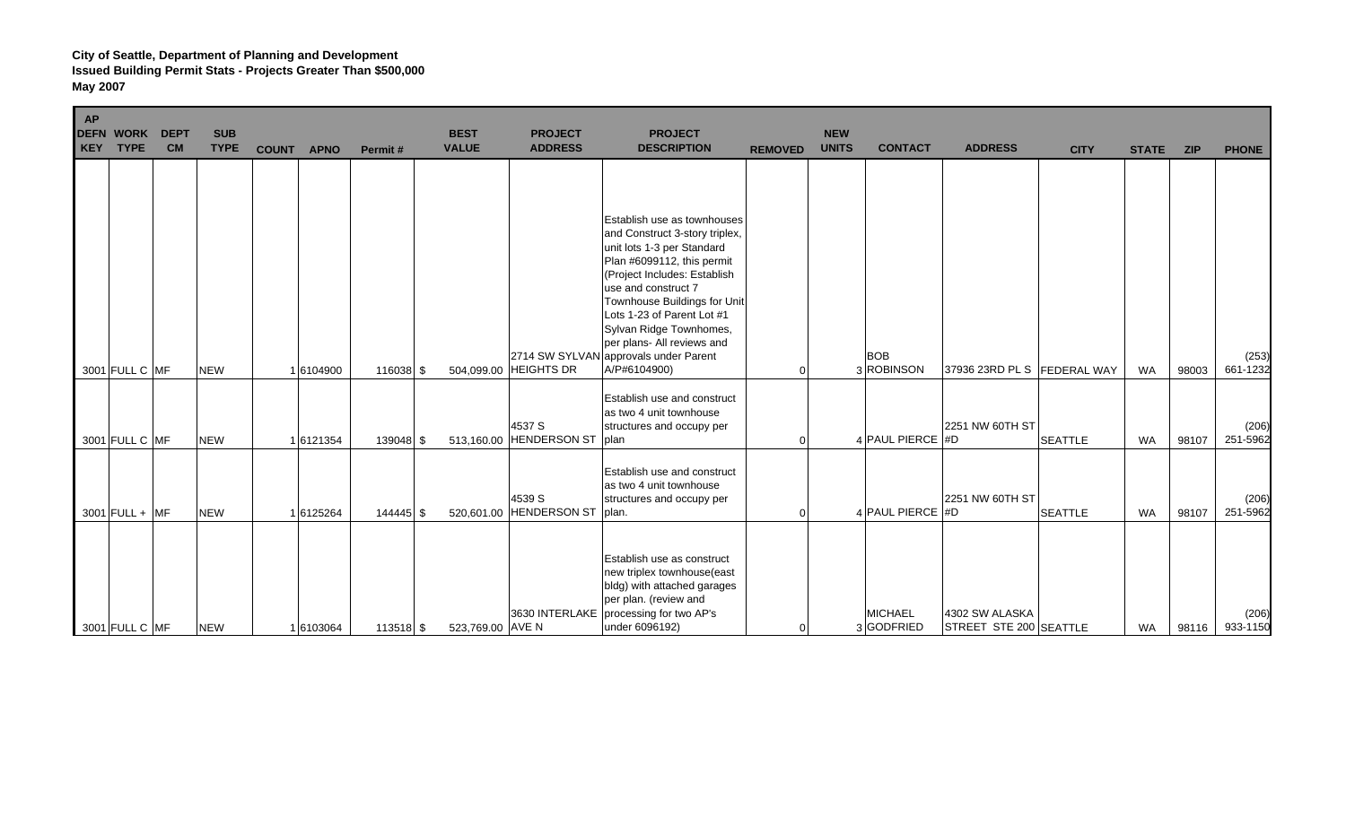| <b>AP</b><br><b>KEY</b> | <b>DEFN WORK</b><br><b>TYPE</b> | <b>DEPT</b><br><b>CM</b> | <b>SUB</b><br><b>TYPE</b> | <b>COUNT</b><br><b>APNO</b> | Permit#   | <b>BEST</b><br><b>VALUE</b> | <b>PROJECT</b><br><b>ADDRESS</b>  | <b>PROJECT</b><br><b>DESCRIPTION</b>                                                                                                                                                                                                                                                                                                                             | <b>REMOVED</b> | <b>NEW</b><br><b>UNITS</b> | <b>CONTACT</b>               | <b>ADDRESS</b>                           | <b>CITY</b>    | <b>STATE</b> | <b>ZIP</b> | <b>PHONE</b>      |
|-------------------------|---------------------------------|--------------------------|---------------------------|-----------------------------|-----------|-----------------------------|-----------------------------------|------------------------------------------------------------------------------------------------------------------------------------------------------------------------------------------------------------------------------------------------------------------------------------------------------------------------------------------------------------------|----------------|----------------------------|------------------------------|------------------------------------------|----------------|--------------|------------|-------------------|
|                         | 3001 FULL C MF                  |                          | <b>NEW</b>                | 1 6104900                   | 116038 \$ |                             | 504,099.00 HEIGHTS DR             | Establish use as townhouses<br>and Construct 3-story triplex,<br>unit lots 1-3 per Standard<br>Plan #6099112, this permit<br>(Project Includes: Establish<br>use and construct 7<br>Townhouse Buildings for Unit<br>Lots 1-23 of Parent Lot #1<br>Sylvan Ridge Townhomes,<br>per plans- All reviews and<br>2714 SW SYLVAN approvals under Parent<br>A/P#6104900) |                |                            | <b>BOB</b><br>3 ROBINSON     | 37936 23RD PL S   FEDERAL WAY            |                | <b>WA</b>    | 98003      | (253)<br>661-1232 |
|                         | 3001 FULL C MF                  |                          | <b>NEW</b>                | 1 6121354                   | 139048 \$ |                             | 4537 S<br>513,160.00 HENDERSON ST | Establish use and construct<br>as two 4 unit townhouse<br>structures and occupy per<br>plan                                                                                                                                                                                                                                                                      | $\Omega$       |                            | 4 PAUL PIERCE #D             | 2251 NW 60TH ST                          | <b>SEATTLE</b> | <b>WA</b>    | 98107      | (206)<br>251-5962 |
|                         | $3001$ FULL + MF                |                          | <b>NEW</b>                | 1 6125264                   | 144445 \$ | 520,601.00                  | 4539 S<br><b>HENDERSON ST</b>     | Establish use and construct<br>as two 4 unit townhouse<br>structures and occupy per<br>plan.                                                                                                                                                                                                                                                                     | $\Omega$       |                            | 4 PAUL PIERCE #D             | 2251 NW 60TH ST                          | <b>SEATTLE</b> | <b>WA</b>    | 98107      | (206)<br>251-5962 |
|                         | 3001 FULL C MF                  |                          | <b>NEW</b>                | 1 6103064                   | 113518 \$ | 523,769.00 AVE N            | 3630 INTERLAKE                    | Establish use as construct<br>new triplex townhouse(east<br>bldg) with attached garages<br>per plan. (review and<br>processing for two AP's<br>under 6096192)                                                                                                                                                                                                    | $\Omega$       |                            | <b>MICHAEL</b><br>3 GODFRIED | 4302 SW ALASKA<br>STREET STE 200 SEATTLE |                | <b>WA</b>    | 98116      | (206)<br>933-1150 |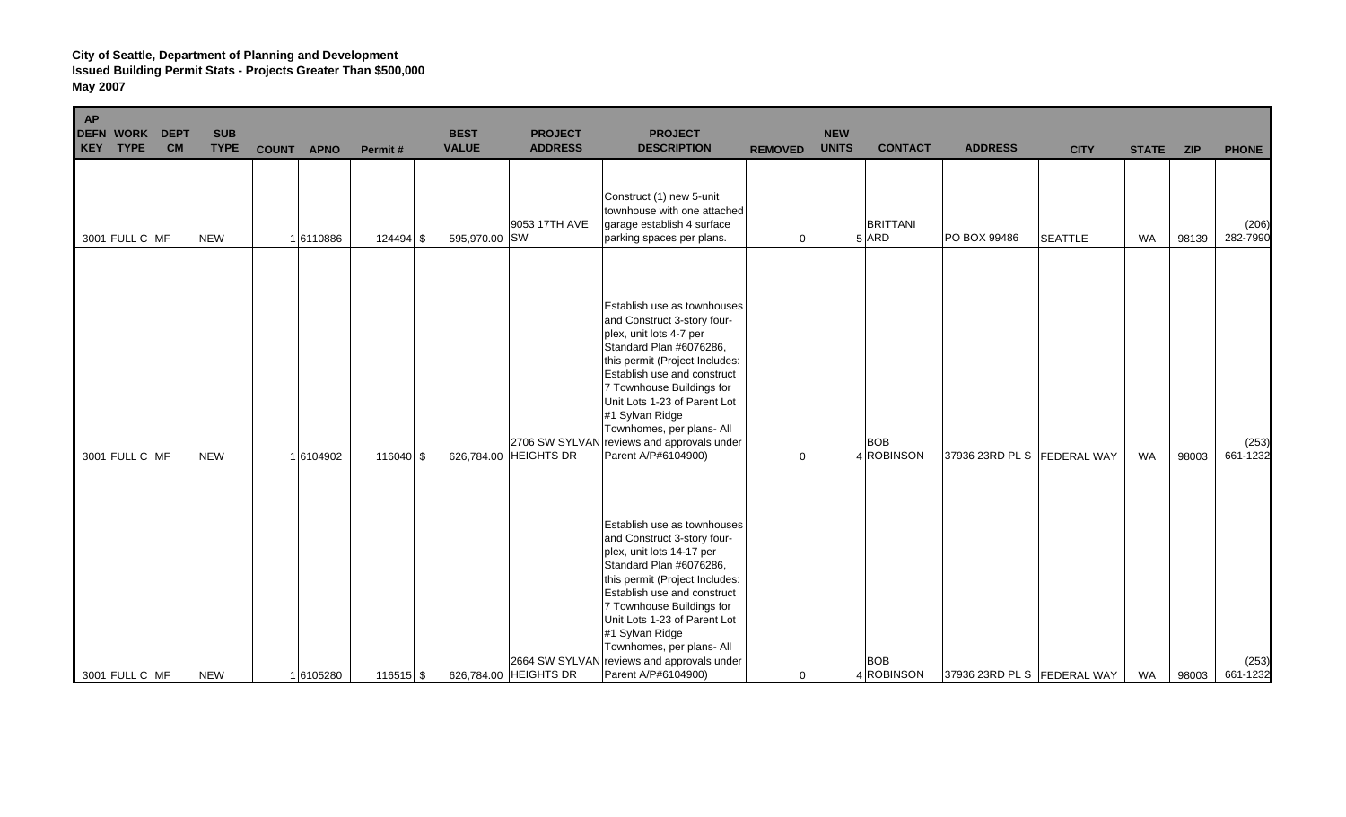| AP | <b>DEFN WORK</b><br><b>KEY TYPE</b> | <b>DEPT</b><br><b>CM</b> | <b>SUB</b><br><b>TYPE</b> | <b>COUNT</b> | <b>APNO</b> | Permit#     | <b>BEST</b><br><b>VALUE</b> | <b>PROJECT</b><br><b>ADDRESS</b> | <b>PROJECT</b><br><b>DESCRIPTION</b>                                                                                                                                                                                                                                                                                                                                  | <b>REMOVED</b> | <b>NEW</b><br><b>UNITS</b> | <b>CONTACT</b>               | <b>ADDRESS</b>              | <b>CITY</b>    | <b>STATE</b> | <b>ZIP</b> | <b>PHONE</b>      |
|----|-------------------------------------|--------------------------|---------------------------|--------------|-------------|-------------|-----------------------------|----------------------------------|-----------------------------------------------------------------------------------------------------------------------------------------------------------------------------------------------------------------------------------------------------------------------------------------------------------------------------------------------------------------------|----------------|----------------------------|------------------------------|-----------------------------|----------------|--------------|------------|-------------------|
|    | 3001 FULL C MF                      |                          | <b>NEW</b>                |              | 16110886    | $124494$ \$ | 595,970.00 SW               | 9053 17TH AVE                    | Construct (1) new 5-unit<br>townhouse with one attached<br>garage establish 4 surface<br>parking spaces per plans.                                                                                                                                                                                                                                                    | $\overline{0}$ |                            | <b>BRITTANI</b><br>$5$ $ARD$ | PO BOX 99486                | <b>SEATTLE</b> | <b>WA</b>    | 98139      | (206)<br>282-7990 |
|    | 3001 FULL C MF                      |                          | <b>NEW</b>                |              | 1 6104902   | 116040 \$   |                             | 626,784.00 HEIGHTS DR            | Establish use as townhouses<br>and Construct 3-story four-<br>plex, unit lots 4-7 per<br>Standard Plan #6076286,<br>this permit (Project Includes:<br>Establish use and construct<br>7 Townhouse Buildings for<br>Unit Lots 1-23 of Parent Lot<br>#1 Sylvan Ridge<br>Townhomes, per plans- All<br>2706 SW SYLVAN reviews and approvals under<br>Parent A/P#6104900)   | $\overline{0}$ |                            | <b>BOB</b><br>4 ROBINSON     | 37936 23RD PL S FEDERAL WAY |                | <b>WA</b>    | 98003      | (253)<br>661-1232 |
|    | 3001 FULL C MF                      |                          | <b>NEW</b>                |              | 16105280    | 116515 \$   |                             | 626,784.00 HEIGHTS DR            | Establish use as townhouses<br>and Construct 3-story four-<br>plex, unit lots 14-17 per<br>Standard Plan #6076286,<br>this permit (Project Includes:<br>Establish use and construct<br>7 Townhouse Buildings for<br>Unit Lots 1-23 of Parent Lot<br>#1 Sylvan Ridge<br>Townhomes, per plans- All<br>2664 SW SYLVAN reviews and approvals under<br>Parent A/P#6104900) | 0              |                            | <b>BOB</b><br>4 ROBINSON     | 37936 23RD PL S FEDERAL WAY |                | WA           | 98003      | (253)<br>661-1232 |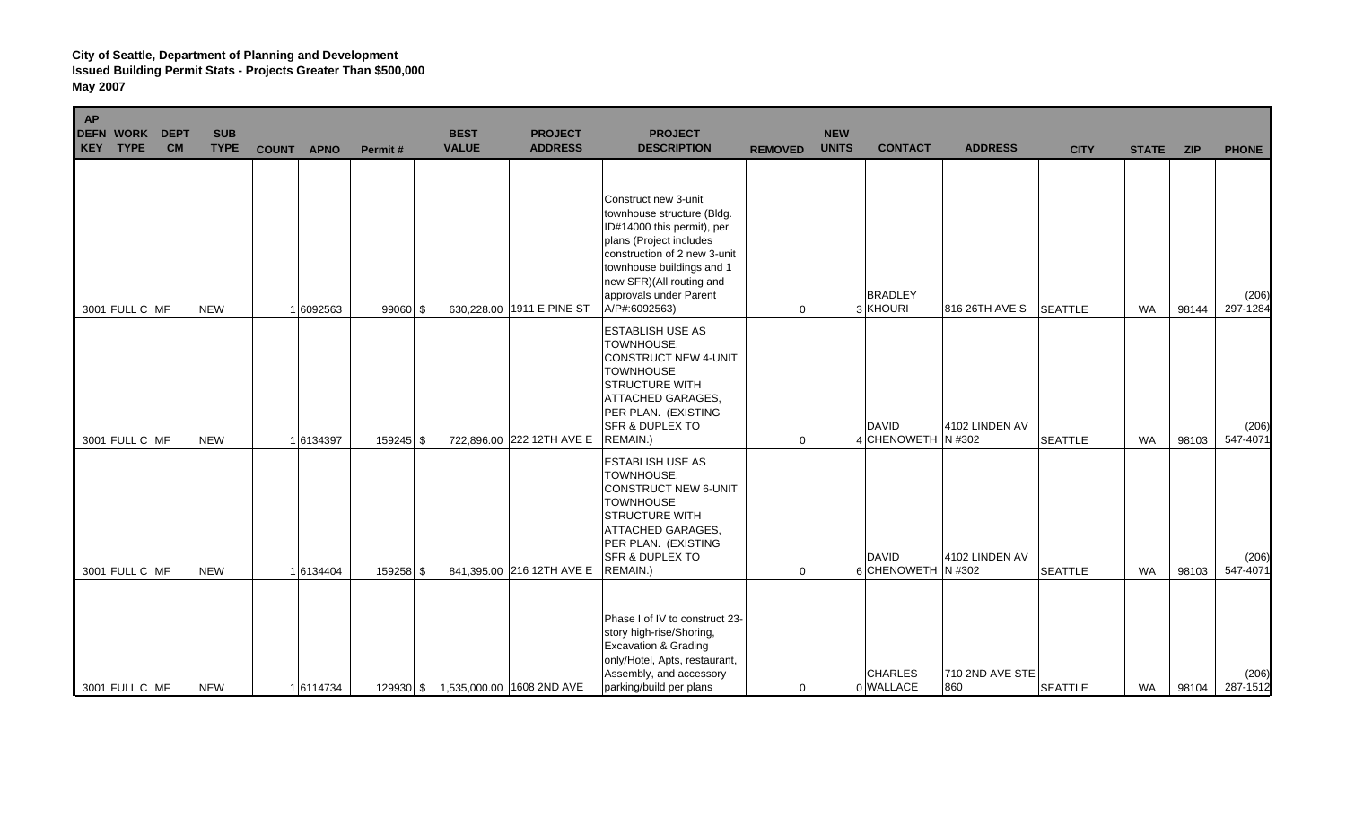| AP<br>DEFN WORK<br>KEY TYPE | <b>DEPT</b><br><b>CM</b> | <b>SUB</b><br><b>TYPE</b> | <b>COUNT</b><br><b>APNO</b> | Permit#    | <b>BEST</b><br><b>VALUE</b> | <b>PROJECT</b><br><b>ADDRESS</b> | <b>PROJECT</b><br><b>DESCRIPTION</b>                                                                                                                                                                                                            | <b>REMOVED</b> | <b>NEW</b><br><b>UNITS</b> | <b>CONTACT</b>                     | <b>ADDRESS</b>         | <b>CITY</b>    | <b>STATE</b> | <b>ZIP</b> | <b>PHONE</b>      |
|-----------------------------|--------------------------|---------------------------|-----------------------------|------------|-----------------------------|----------------------------------|-------------------------------------------------------------------------------------------------------------------------------------------------------------------------------------------------------------------------------------------------|----------------|----------------------------|------------------------------------|------------------------|----------------|--------------|------------|-------------------|
| 3001 FULL C MF              |                          | <b>NEW</b>                | 1 6092563                   | $99060$ \$ |                             | 630,228.00 1911 E PINE ST        | Construct new 3-unit<br>townhouse structure (Bldg.<br>ID#14000 this permit), per<br>plans (Project includes<br>construction of 2 new 3-unit<br>townhouse buildings and 1<br>new SFR)(All routing and<br>approvals under Parent<br>A/P#:6092563) | $\Omega$       |                            | <b>BRADLEY</b><br>3 KHOURI         | 816 26TH AVE S         | <b>SEATTLE</b> | <b>WA</b>    | 98144      | (206)<br>297-1284 |
| 3001 FULL C MF              |                          | <b>NEW</b>                | 16134397                    | 159245 \$  |                             | 722,896.00 222 12TH AVE E        | <b>ESTABLISH USE AS</b><br><b>TOWNHOUSE,</b><br>CONSTRUCT NEW 4-UNIT<br><b>TOWNHOUSE</b><br><b>STRUCTURE WITH</b><br><b>ATTACHED GARAGES,</b><br>PER PLAN. (EXISTING<br><b>SFR &amp; DUPLEX TO</b><br>REMAIN.)                                  | ∩              |                            | <b>DAVID</b><br>4 CHENOWETH N #302 | 4102 LINDEN AV         | <b>SEATTLE</b> | <b>WA</b>    | 98103      | (206)<br>547-4071 |
| 3001 FULL C MF              |                          | <b>NEW</b>                | 1 6134404                   | 159258 \$  |                             | 841,395.00 216 12TH AVE E        | <b>ESTABLISH USE AS</b><br><b>TOWNHOUSE,</b><br>CONSTRUCT NEW 6-UNIT<br><b>TOWNHOUSE</b><br><b>STRUCTURE WITH</b><br><b>ATTACHED GARAGES,</b><br>PER PLAN. (EXISTING<br><b>SFR &amp; DUPLEX TO</b><br>REMAIN.)                                  |                |                            | <b>DAVID</b><br>6 CHENOWETH N #302 | 4102 LINDEN AV         | <b>SEATTLE</b> | <b>WA</b>    | 98103      | (206)<br>547-4071 |
| 3001 FULL C MF              |                          | <b>NEW</b>                | 16114734                    | 129930 \$  |                             | 1,535,000.00 1608 2ND AVE        | Phase I of IV to construct 23-<br>story high-rise/Shoring,<br><b>Excavation &amp; Grading</b><br>only/Hotel, Apts, restaurant,<br>Assembly, and accessory<br>parking/build per plans                                                            | $\Omega$       |                            | <b>CHARLES</b><br>0 WALLACE        | 710 2ND AVE STE<br>860 | <b>SEATTLE</b> | WA           | 98104      | (206)<br>287-1512 |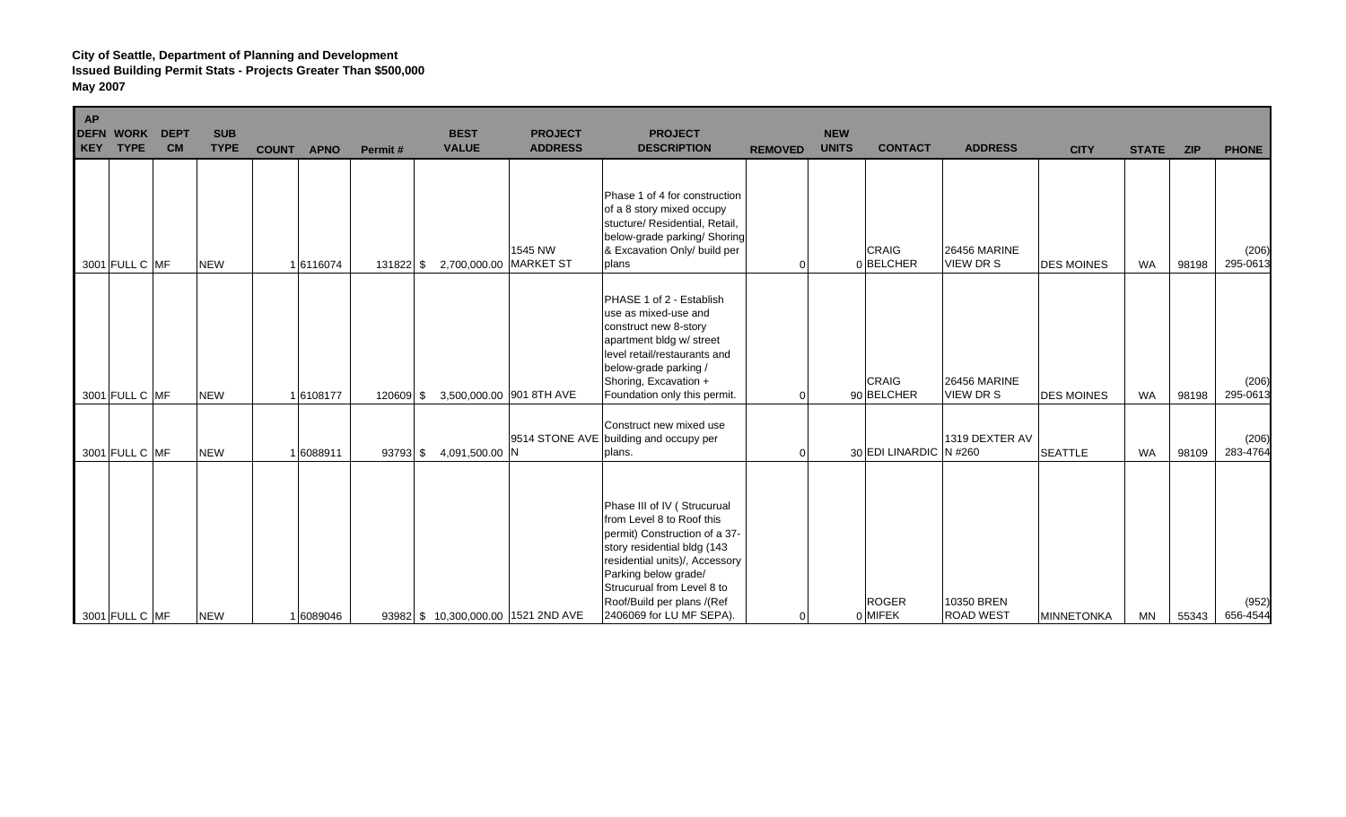| <b>AP</b><br><b>KEY</b> | <b>DEFN WORK</b><br><b>TYPE</b> | <b>DEPT</b><br><b>CM</b> | <b>SUB</b><br><b>TYPE</b> | <b>COUNT APNO</b> | Permit#     | <b>BEST</b><br><b>VALUE</b> | <b>PROJECT</b><br><b>ADDRESS</b>    | <b>PROJECT</b><br><b>DESCRIPTION</b>                                                                                                                                                                                                                                       | <b>REMOVED</b> | <b>NEW</b><br><b>UNITS</b> | <b>CONTACT</b>             | <b>ADDRESS</b>                          | <b>CITY</b>       | <b>STATE</b> | <b>ZIP</b> | <b>PHONE</b>      |
|-------------------------|---------------------------------|--------------------------|---------------------------|-------------------|-------------|-----------------------------|-------------------------------------|----------------------------------------------------------------------------------------------------------------------------------------------------------------------------------------------------------------------------------------------------------------------------|----------------|----------------------------|----------------------------|-----------------------------------------|-------------------|--------------|------------|-------------------|
|                         | 3001 FULL C MF                  |                          | <b>NEW</b>                | 1 6116074         | $131822$ \$ | 2,700,000.00 MARKET ST      | 1545 NW                             | Phase 1 of 4 for construction<br>of a 8 story mixed occupy<br>stucture/ Residential, Retail,<br>below-grade parking/ Shoring<br>& Excavation Only/ build per<br>plans                                                                                                      | ∩              |                            | <b>CRAIG</b><br>0BELCHER   | <b>26456 MARINE</b><br><b>VIEW DR S</b> | <b>DES MOINES</b> | <b>WA</b>    | 98198      | (206)<br>295-0613 |
|                         | 3001 FULL C MF                  |                          | <b>NEW</b>                | 1 6108177         | 120609 \$   |                             | 3,500,000.00 901 8TH AVE            | PHASE 1 of 2 - Establish<br>use as mixed-use and<br>construct new 8-story<br>apartment bldg w/ street<br>level retail/restaurants and<br>below-grade parking /<br>Shoring, Excavation +<br>Foundation only this permit.                                                    |                |                            | <b>CRAIG</b><br>90 BELCHER | <b>26456 MARINE</b><br>VIEW DR S        | <b>DES MOINES</b> | <b>WA</b>    | 98198      | (206)<br>295-0613 |
|                         | 3001 FULL C MF                  |                          | <b>NEW</b>                | 1 6088911         | 93793 \$    | 4,091,500.00 N              |                                     | Construct new mixed use<br>9514 STONE AVE building and occupy per<br>plans.                                                                                                                                                                                                | $\Omega$       |                            | 30 EDI LINARDIC N #260     | 1319 DEXTER AV                          | <b>SEATTLE</b>    | <b>WA</b>    | 98109      | (206)<br>283-4764 |
|                         | 3001 FULL C MF                  |                          | <b>NEW</b>                | 1 6089046         |             |                             | 93982 \$ 10,300,000.00 1521 2ND AVE | Phase III of IV (Strucurual<br>from Level 8 to Roof this<br>permit) Construction of a 37-<br>story residential bldg (143<br>residential units)/, Accessory<br>Parking below grade/<br>Strucurual from Level 8 to<br>Roof/Build per plans /(Ref<br>2406069 for LU MF SEPA). | $\Omega$       |                            | <b>ROGER</b><br>0 MIFEK    | 10350 BREN<br><b>ROAD WEST</b>          | <b>MINNETONKA</b> | MN           | 55343      | (952)<br>656-4544 |